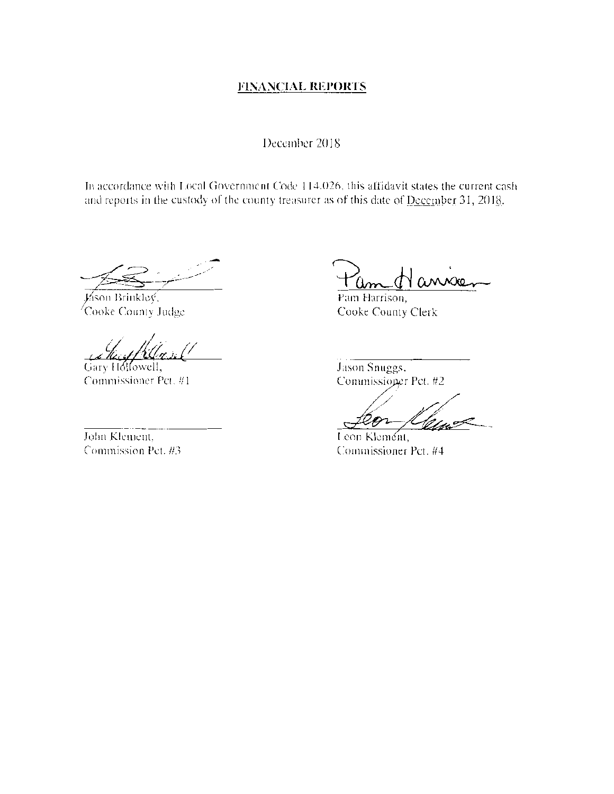# **FINANCIAL REPORTS**

#### December 2018

In accordance with Local Government Code 114.026, this affidavit states the current cash and reports in the custody of the county treasurer as of this date of December 31, 2018.

Jáson Brinkley, Cooke County Judge

Gary Hollowell,

Commissioner Pct. #1

John Kleinein. Commission Pet. #3

Pam Harrison, Cooke County Clerk

Jason Snuggs, Commissioner Pct. #2

Leon Klement, Commissioner Pct. #4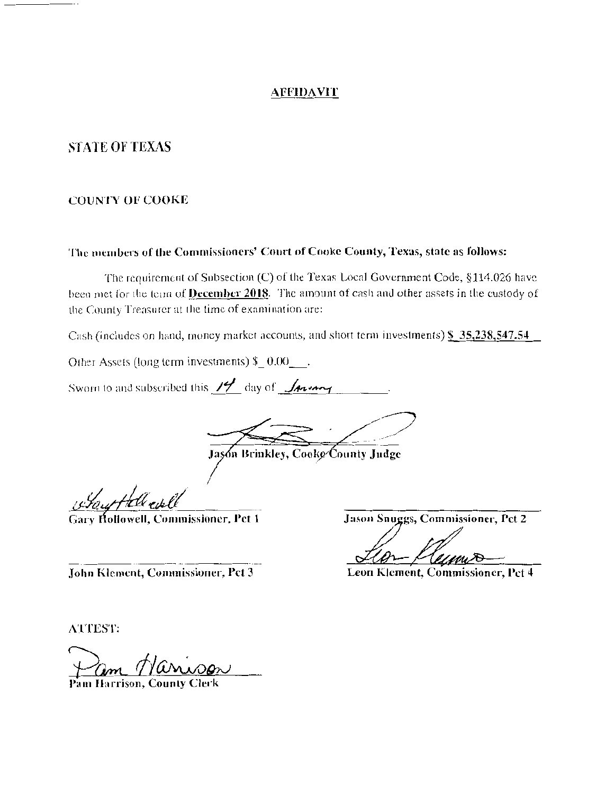#### **AFFIDAVIT**

## **STATE OF TEXAS**

#### **COUNTY OF COOKE**

#### The members of the Commissioners' Court of Cooke County, Texas, state as follows:

The requirement of Subsection (C) of the Texas Local Government Code, §114.026 have been met for the term of **December 2018**. The amount of cash and other assets in the custody of the County Treasurer at the time of examination are:

Cash (includes on hand, money market accounts, and short term investments) \$35,238,547.54

Other Assets (long term investments)  $$ 0.00 \,$ .

Sworn to and subscribed this  $14$  day of  $\sqrt{4}$ 

Jason Brinkley, Cooke County Judge

Gout tall evel

Gary Hollowell, Commissioner, Pct 1

Jason Snuggs, Commissioner, Pct 2

Leon Klement, Commissioner, Pct 4

John Klement, Commissioner, Pct 3

**ATTEST:** 

Pam Harrison, County Cler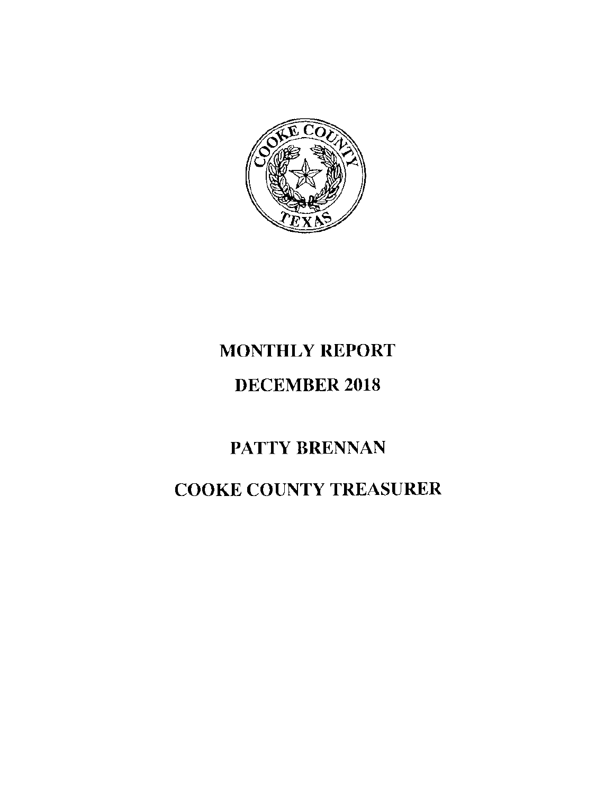

# MONTHLY REPORT

# DECEMBER 2018

# PATTY BRENNAN

# COOKE COUNTY TREASURER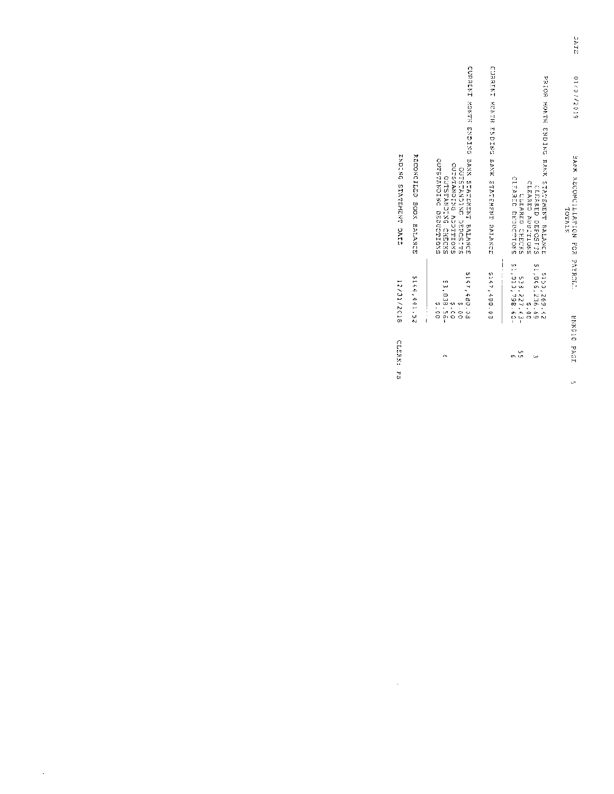|                       |                         |                                                                                                                                         |                                            |                                                                                                                                        | <b>NATA</b>                               |
|-----------------------|-------------------------|-----------------------------------------------------------------------------------------------------------------------------------------|--------------------------------------------|----------------------------------------------------------------------------------------------------------------------------------------|-------------------------------------------|
|                       |                         |                                                                                                                                         |                                            |                                                                                                                                        | 0112736710                                |
|                       |                         |                                                                                                                                         |                                            |                                                                                                                                        |                                           |
|                       |                         |                                                                                                                                         |                                            |                                                                                                                                        |                                           |
|                       |                         |                                                                                                                                         |                                            |                                                                                                                                        |                                           |
| ENDING STATEMENT DATE | RECONCILED BOOK BALANCE | CORNIZE KONES DENDE DENK SERGENENE DENDE<br>OUTSTANDING DEDUCTIONS<br>CANDITIC ANDISTRONS<br>STISDEED DES DES TES<br>CUTSTANDIXG CHECKS | CUNRENT RONES EXPERS BAXR STADEREST PAIANO | PRESCRIPTE CALING BRAN CERTAIN STRIPS FOR SOLUT<br>CLEARED DEDOCTTONS<br>CLARED ADDITIONS<br>CLEARED DEPOSITS<br><b>ULEARED CHECKS</b> | BANK RECONCILIATION FOR PAYRCEL<br>TOTALS |
|                       |                         |                                                                                                                                         | i                                          |                                                                                                                                        |                                           |
| 12/31/2018            | \$144,441.52            | 5147,480.03<br>\$3,038.56-<br>\$3,038.56-<br>0.07<br>ა<br>00                                                                            | \$147,480.08                               | -091864'010'13<br>98.956,236.69<br>5150,269.42<br>538,227.43-<br>$\frac{4}{3}$                                                         |                                           |
|                       |                         |                                                                                                                                         |                                            |                                                                                                                                        | BRXC10                                    |
| CLERK: PB             |                         | ď۵                                                                                                                                      |                                            | ς.<br>œ<br>ىئ                                                                                                                          | PAGI                                      |
|                       |                         |                                                                                                                                         |                                            |                                                                                                                                        | U.                                        |

 $\label{eq:2.1} \frac{1}{\sqrt{2}}\left(\frac{1}{\sqrt{2}}\right)^{2} \left(\frac{1}{\sqrt{2}}\right)^{2} \left(\frac{1}{\sqrt{2}}\right)^{2} \left(\frac{1}{\sqrt{2}}\right)^{2} \left(\frac{1}{\sqrt{2}}\right)^{2} \left(\frac{1}{\sqrt{2}}\right)^{2} \left(\frac{1}{\sqrt{2}}\right)^{2} \left(\frac{1}{\sqrt{2}}\right)^{2} \left(\frac{1}{\sqrt{2}}\right)^{2} \left(\frac{1}{\sqrt{2}}\right)^{2} \left(\frac{1}{\sqrt{2}}\right)^{2} \left(\$ 

 $\Delta \sim 10^4$ 

 $\mathbf{r}^{\mathbf{r}} = \mathbf{r}^{\mathbf{r}}$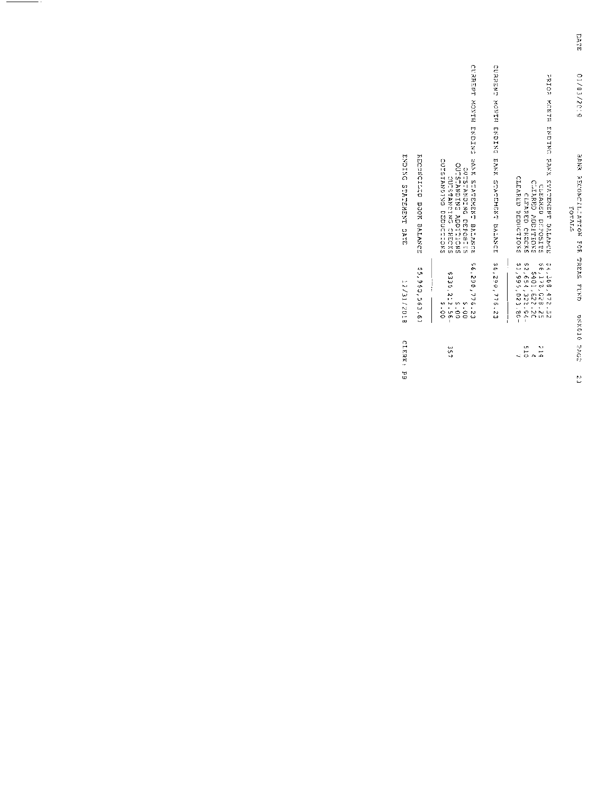|                                                  |                                                                                                                                     |                                             |                                                                                                                          | DATE                                                    |
|--------------------------------------------------|-------------------------------------------------------------------------------------------------------------------------------------|---------------------------------------------|--------------------------------------------------------------------------------------------------------------------------|---------------------------------------------------------|
|                                                  |                                                                                                                                     |                                             |                                                                                                                          | 01/03/2019                                              |
|                                                  |                                                                                                                                     |                                             |                                                                                                                          |                                                         |
|                                                  |                                                                                                                                     |                                             |                                                                                                                          |                                                         |
|                                                  |                                                                                                                                     |                                             |                                                                                                                          |                                                         |
| RECONCILLIO BOOK SALANCE<br>せんじせんじ みんていせんかん しょとけ | CURRENT MONTH ENDING BANK STATEMELROE<br>OCHOTAZOTZG DNDCCUULOZS<br>COLLESTAND ADDITIONS<br>SILESCRED DRECKS<br>CXDISTANCING CHICKS | CONSERT MONTH DROTAG HANX MURTURAN SATANDED | PRICE ENTRICULATE ENDING SING SENDERICE<br>CLEARED DEDUCTIONS<br>CIRARED NOGLIERNO<br>CLEARED DIPOSITE<br>CLEARED CHECKS | <b>RANX REAST TREE TREE TREE SAMES</b><br><b>TOTALS</b> |
|                                                  |                                                                                                                                     | ļ                                           |                                                                                                                          |                                                         |
| \$5,960,563.67<br><b>8:02/16/27</b>              | 56,296,776.23<br>\$330,2:2.56-<br>\$330,2:2.56-<br>6.00<br>0.01                                                                     | S6, 290, 776, 23                            | \$2,654,322.94-<br>\$6,170,028.25<br>S401,622.20<br>54,368,472.52                                                        |                                                         |
|                                                  |                                                                                                                                     |                                             |                                                                                                                          | <b>BXX010 2502</b>                                      |
| CILERK: PB                                       | بين<br>د                                                                                                                            |                                             | <b>515</b><br>$\frac{2}{3}$                                                                                              |                                                         |
|                                                  |                                                                                                                                     |                                             |                                                                                                                          | E)                                                      |

 $\overline{\phantom{a}}$ 

 $-$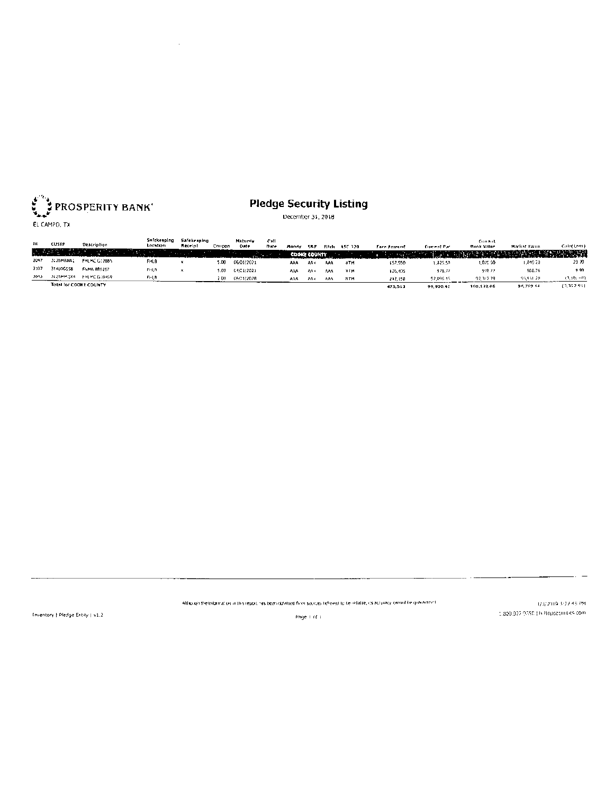

 $\bar{\mathcal{A}}$ 

# **Pledge Security Listing**

December 31, 2018

| m    |                        |                      | Salckeeping | Safeke naing |        | <b>Habinty</b> | Call |           |              |       |            |             |                     | Coment                                 |                     |               |
|------|------------------------|----------------------|-------------|--------------|--------|----------------|------|-----------|--------------|-------|------------|-------------|---------------------|----------------------------------------|---------------------|---------------|
|      | <b>CUSTP</b>           | Description          | Loration    | ficerint     | Coupon | <b>Onte</b>    | Date | Mondy     | <b>SRP</b>   | Fitch | ASC 320    | Face Ameunt | <b>Cornect Part</b> | <b>Book Value</b>                      | <b>Market Value</b> | Calar Less)   |
|      |                        |                      |             |              |        | .              |      |           | COOKE COUNTY |       |            |             |                     | <b>NORTH DISTURBANCE OF A THE WAY.</b> |                     | <b>WARRAN</b> |
| 2047 | 3: ZBMRNA:             | <b>FHLING GOZBBS</b> | <b>FHLB</b> |              | 5.DO   | 06/01/2021     |      | AAA       | AA+          | AAA   | <b>HTM</b> | 157.950     | 1.825.SP            | 1.025.50                               | 1,449.20            | 23.20         |
| 2107 | 314100558              | FMMA 889252          | FRUN        |              | 5.00   | 04/01/2021     |      | <b>AM</b> | An +         | ٨٨٨   | нтм        | 135,405     | 978.72              | 928.22                                 | 968.76              | 999           |
| 3643 | 3125MM0x4              | FRUMC GIB469         | FFLB<br>--- |              | 2 OO   | C6/01/2028     |      | AM.       | 204          | AAA   | <b>NTH</b> | 212.150     | 97.096.35           | 07.317.79                              | 93,931-201          | (3,950,00).   |
|      | Total for COOKE COUNTY |                      |             |              |        |                |      |           |              |       |            | 475.513     | 99,900.42           | 100,172.06                             | 96,769.16           | (1,152.91)    |

Although the Information in this report has been obtained from socroes heliceed to be reliable, us accuracy cammibilie gov anneed

1/3/2019 3:27:48 PM 

 $\sim$   $-$ 

Triventory | Pledge Entity | v1.2

Page 1 of L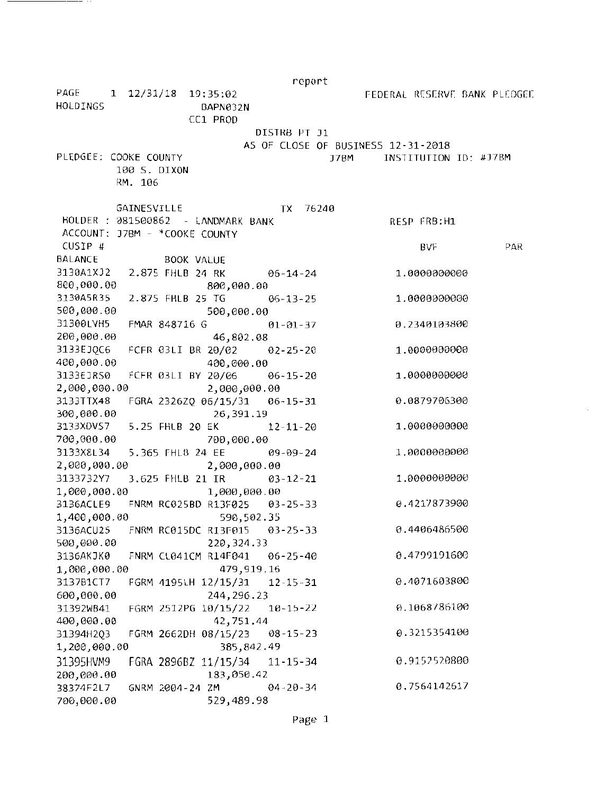|                       |                                         | report                             |                              |     |
|-----------------------|-----------------------------------------|------------------------------------|------------------------------|-----|
| PAGE<br>HOLDINGS      | 1 12/31/18 19:35:02<br>BAPN032N         |                                    | FEDERAL RESERVE BANK PLEDGEE |     |
|                       | CC1 PROD                                |                                    |                              |     |
|                       |                                         | DISTRB PT J1                       |                              |     |
|                       |                                         | AS OF CLOSE OF BUSINESS 12-31-2018 |                              |     |
| PLEDGEE: COOKE COUNTY |                                         | J7BM                               | INSTITUTION ID: #J7BM        |     |
|                       | 100 S. DIXON                            |                                    |                              |     |
|                       | RM. 106                                 |                                    |                              |     |
|                       |                                         |                                    |                              |     |
|                       | <b>GAINESVILLE</b>                      | 76240<br>TX T                      |                              |     |
|                       | HOLDER : 081500862 - LANDMARK BANK      |                                    | RESP FRB:H1                  |     |
| CUSIP #               | ACCOUNT: J7BM - *COOKE COUNTY           |                                    |                              |     |
|                       |                                         |                                    | BVF                          | PAR |
| <b>BALANCE</b>        | BOOK VALUE                              |                                    |                              |     |
| 800,000.00            | 3130A1X32 2.875 FHLB 24 RK 06-14-24     |                                    | 1.0000000000                 |     |
| 3130A5R35             | 800,000.00                              |                                    |                              |     |
| 500,000.00            | 2.875 FHLB 25 TG 06-13-25               |                                    | 1.0000000000                 |     |
| 31300LVH5             | 500,000.00<br>FMAR 848716 G             | $01 - 01 - 37$                     | 0.2340103800                 |     |
| 200,000.00            | 46,802.08                               |                                    |                              |     |
| 3133EJQC6             | FCFR 03LI BR 20/02 02-25-20             |                                    | 1.0000000000                 |     |
| 400,000.00            | 400,000.00                              |                                    |                              |     |
| 3133EJR50             | FCFR 03LI BY 20/06 06-15-20             |                                    | 1.0000000000                 |     |
| 2,000,000.00          | 2,000,000.00                            |                                    |                              |     |
| 3133TTX48             |                                         |                                    | 0.0879706300                 |     |
| 300,000.00            | 26,391.19                               |                                    |                              |     |
| 3133XDVS7             | 5.25 FHLB 20 EK                         | 12-11-20                           | 1,0000000000                 |     |
| 700,000.00            | 700,000.00                              |                                    |                              |     |
| 3133X8L34             | 5.365 FHLB 24 EE 09-09-24               |                                    | 1.0000000000                 |     |
| 2,000,000.00          | 2,000,000.00                            |                                    |                              |     |
|                       | 3133732Y7 3.625 FHLB 21 IR              | $03 - 12 - 21$                     | 1.0000000000                 |     |
| 1,000,000.00          | 1,000,000.00                            |                                    |                              |     |
|                       | 3136ACLE9 FNRM RC025BD R13F025 03-25-33 |                                    | 0.4217873900                 |     |
| 1,400,000.00          | 590,502.35                              |                                    |                              |     |
| 3136ACU25             | FNRM RC015DC R13F015                    | $03 - 25 - 33$                     | 0.4406486500                 |     |
| 500,000.00            | 220, 324.33                             |                                    |                              |     |
| 3136AKJK0             | FNRM CL041CM R14F041                    | $06 - 25 - 40$                     | 0.4799191600                 |     |
| 1,000,000.00          | 479,919.16                              |                                    |                              |     |
| 3137B1CT7             | FGRM 4195LH 12/15/31                    | $12 - 15 - 31$                     | 0.4071603800                 |     |
| 600,000.00            | 244, 296.23                             |                                    |                              |     |
| 31392WB41             | FGRM 2512PG 10/15/22                    | $10 - 15 - 22$                     | 0.1068786100                 |     |
| 400,000.00            | 42,751.44                               |                                    |                              |     |
| 31394H2Q3             | FGRM 2662DH 08/15/23                    | $08 - 15 - 23$                     | 0.3215354100                 |     |
| 1,200,000.00          | 385,842.49                              |                                    |                              |     |
| 31395HVM9             | FGRA 2896BZ 11/15/34                    | $11 - 15 - 34$                     | 0.9152520800                 |     |
| 200,000.00            | 183,050.42                              |                                    |                              |     |
| 38374F2L7             | GNRM 2004-24 ZM                         | $04 - 20 - 34$                     | 0.7564142617                 |     |
| 700,000.00            | 529,489.98                              |                                    |                              |     |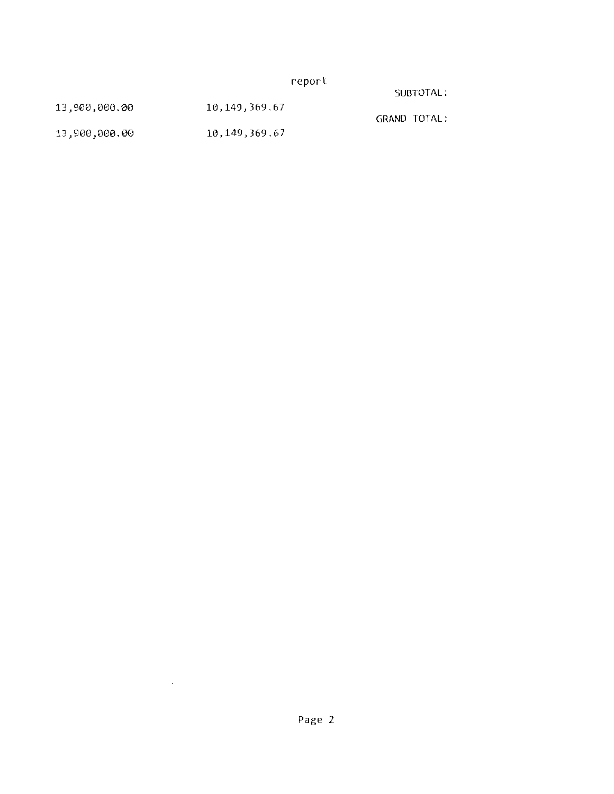report

SUBTOTAL:

| 13,900,000.00 | 10, 149, 369.67 | GRAND TOTAL: |
|---------------|-----------------|--------------|
| 13,900,000.00 | 10,149,369.67   |              |

 $\ddot{\phantom{0}}$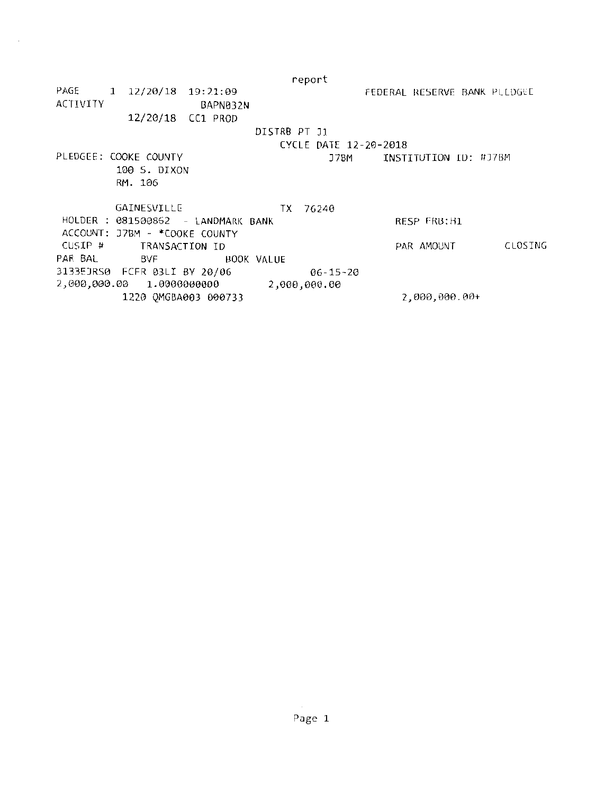|          |                               |                                    |              | report                |                              |         |
|----------|-------------------------------|------------------------------------|--------------|-----------------------|------------------------------|---------|
|          | PAGE 1 12/20/18 19:21:09      |                                    |              |                       | FEDERAL RESERVE BANK PLEDGEE |         |
| ACTIVITY |                               | BAPN032N                           |              |                       |                              |         |
|          | 12/20/18 CC1 PROD             |                                    |              |                       |                              |         |
|          |                               |                                    | DISTRB PT J1 |                       |                              |         |
|          |                               |                                    |              | CYCLE DATE 12-20-2018 |                              |         |
|          | PLEDGEE: COOKE COUNTY         |                                    |              | J7BM                  | INSTITUTION ID: #J7BM        |         |
|          | 100 S. DIXON                  |                                    |              |                       |                              |         |
|          | RM. 106                       |                                    |              |                       |                              |         |
|          |                               |                                    |              |                       |                              |         |
|          | GAINESVILLE                   |                                    | TX.          | 76240                 |                              |         |
|          |                               | HOLDER : 081500862 - LANDMARK BANK |              |                       | RESP FRB:H1                  |         |
|          | ACCOUNT: J7BM - *COOKE COUNTY |                                    |              |                       |                              |         |
| CUSIP #  | TRANSACTION ID                |                                    |              |                       | PAR AMOUNT                   | CLOSING |
| PAR BAL  | BVF                           |                                    | BOOK VALUE   |                       |                              |         |
|          | 3133EJRS0 FCFR 03LI BY 20/06  |                                    |              | $06 - 15 - 20$        |                              |         |
|          |                               |                                    |              | 2,000,000.00          |                              |         |
|          | 1220 QMGBA003 000733          |                                    |              |                       | 2,000,000.00+                |         |

 $\bar{z}$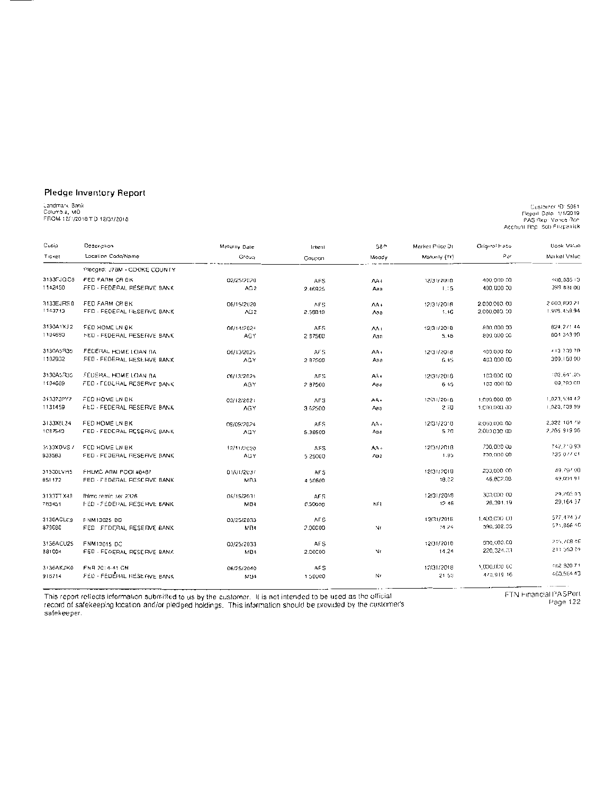#### Pledge Inventory Report

# Candmark Bank<br>Columbia, MO<br>FROM 12/1/2018 TO 12/31/2018

<sup>1165 (1)</sup> Sammer (1)<br>11/2019 Papal Dale<br>11/2019 PAS Rep: Vance Pap<br>11/2010 Account Rep: Bob Fitzpatick

| Cusip         | Description                  | Masurily Dale   | Intent     | S&P   | Markel Price Of | Original Habe | Book Value   |
|---------------|------------------------------|-----------------|------------|-------|-----------------|---------------|--------------|
| Ticket        | Location Code/Name<br>Greup  |                 | Coupon     | Moody | Maturity (Yr)   | Par           | Market Value |
|               | Pleaged: J7BM - COOKE COUNTY |                 |            |       |                 |               |              |
| 3133FJQC6     | FED FARM CR BK               | 02/25/2020      | <b>AFS</b> | AA+   | 12/31/2018      | 400.000.00    | 400,085.13   |
| 1142450       | FED - FEDERAL RESERVE BANK   | AG2             | 2.46925    | Aaa   | 1.15            | 400,000.00    | 399 B34 00   |
| 3133EJRS 0    | FED FARM CR BK               | 06/15/2020      | AFS.       | AA+   | 12/31/2018      | 2.000.000.00  | 2.000.099.21 |
| 1143713       | FED - FEDERAL RESERVE BANK   | AG <sub>2</sub> | 2.58819    | Ааа   | 1,46            | 2,000,000.00  | 1,993,459.94 |
| 3130A1XJ2     | FED HOME LN BK               | 06/14/2024      | <b>AFS</b> | AA I  | 12/31/2018      | 800 000 00    | 824, 271.44  |
| 1104690       | FED - FEDERAL RESERVE BANK   | AGY             | 287500     | Аав   | 5.46            | 800,000.00    | 804 343 99   |
| 313045335     | FEDERAL HOME LOAN DA         | 06/13/2025      | AFS.       | AA+   | 12/31/2018      | 100,000.00    | 413 709 79   |
| 1102932       | FED - FEDERAL RESERVE BANK   | AGY.            | 2 B7500    | Aaa   | 6.45            | 400,000.00    | 399.150.00   |
| 3130A5335     | FEDERAL HOME LOAN BA         | 06/13/2025      | AF S       | AA+   | 12/31/2018      | 103,000 00    | 102.641.05   |
| 1104689       | FED - FEDURAL RESERVE BANK   | AGY             | 2 87500    | Aaa   | 645             | 100 000 00    | 99,790.00    |
| 3133732Y7     | FED HOME LN BK               | 03/12/2021      | <b>AFS</b> | AA+   | 12/31/2018      | 1.000.000.00  | 1,023,534.42 |
| 1131459       | FED - FEDERAL RESERVE BANK   | AGY             | 3.62500    | Aaa   | 2.20            | 1.000,000.00  | 1.020.709.99 |
| 3133X8L34     | FED HOME LN BK               | 09/09/2024      | AFS.       | AA.   | 12/31/2018      | 2,000,000,00  | 2.322 164 79 |
| 1087540       | FED - FEDERAL RESERVE BANK   | AGY             | 5.36500    | Aaa   | 57G             | 2.000 000 00  | 2,265,919.06 |
| 3133XDVS7     | FED HOME LN BK               | 12/11/2020      | AFS        | AA+   | 12/31/2018      | 200.000.00    | 742.710.93   |
| 933583        | FED - FEDERAL RESERVE BANK   | AGY             | 5 25000    | Ааа   | 1.95            | 700,000.00    | 235 077 01   |
| 31300LVH5     | FHLMC ARM POOL#8487          | 01/01/2037      | AF S       |       | 12/31/2018      | 200,000.00    | 49.797.00    |
| 851172        | FED FEDERAL RESCRYE BANK     | MB <sub>3</sub> | 4 50600    |       | 18.02           | 46.802.08     | 49,094.91    |
| 313377 X48    | fhimo remic ser 2326         | 06/15/2031      | AF 5       |       | 12/31/2018      | 300,000 00    | 29.205.03    |
| 783451        | FED - FEDEPAL RESERVE BANK   | MB4             | 6.50000    | NF1   | 12.46           | 26,391.19     | 29,164.37    |
| 3136ACLC9     | FNM13025 BD                  | 03/25/2033      | AF S       |       | 12/31/2016      | 1.400,000 CO  | 577,474.57   |
| 879690        | FED FEDERAL RESERVE BANK     | MB4             | 2.00000    | Nr    | 14.24           | 590, 502.05   | 571,856.40   |
| 3156ACU25     | FNM13015 DC                  | 03/25/2033      | AF S       |       | 12/31/2018      | 500,000.00    | 215,708.48   |
| <b>881004</b> | FED - FEDERAL RESERVE BANK   | MB4             | 2.00000    | N٢    | 14.24           | 220.324.33    | 211.593.24   |
| 3136AK3K0     | <b>FNR 2014-41 GM</b>        | 06/25/2040      | AFS        |       | 12/31/2018      | 1,000,000 GC  | 462 930 71   |
| 916714        | FED - FEDERAL RESERVE BANK   | M94             | 1.50000    | Nr    | 21.50           | 473,919.16    | 460,564.43   |

This report reflects information submitted to us by the customer. It is not intended to be used as the official<br>record of safekeeping location and/or pledged holdings. This information should be provided by the customer's<br>

FTN Financial PASPort

Page 122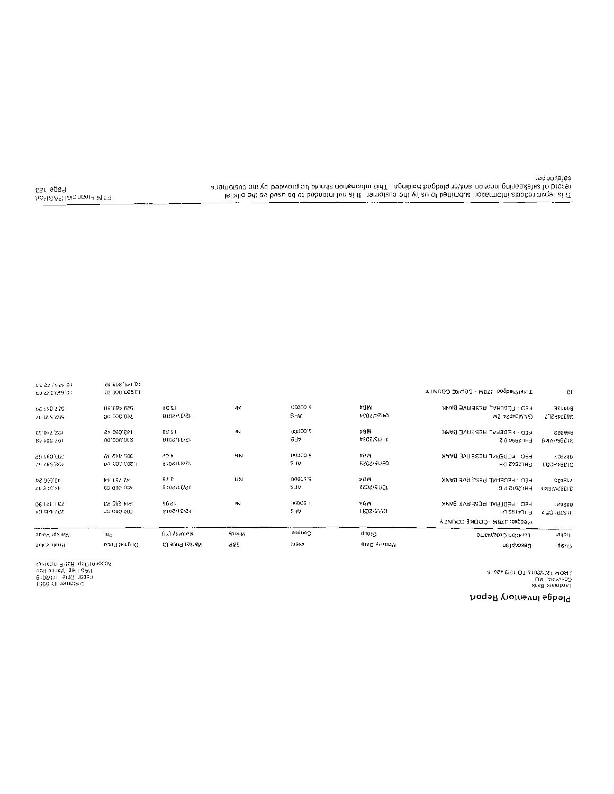#### Pledge Inventory Report

TONPI PIedged UTBM - COOKE COUNTY

: HOM 75\1\5019 1.0 15\31\5010<br>Сочкаре" ИО<br>Геофизик Вялх

8 I

200000  $12^{\circ}31$ ⊳ūw 203/82494 959 409.00 1N. FED - FEDERAL RESERVE BANK 84413E 2010/05/2015 00.000,007 15\31\5018 SHV 04/50/2004 QVWD40S4 SW 38314551 13519733 08.21 210000 >8W 1931090.45 ١N FED - FEDERAL RESERVE DANK 886652 #ECZ/SW1# 15/31/5018 BV POS 761 30.000.003 ¶∕r£ **FHL2896 B 2 BAAPS6018 DOOGD S** 20.090.02  $300, 945, 40$ d 05 **FIN POW** FED - FEDEDAL RESERVE BANK 883503 405'765'7 00.000.008.1 15/31/5048 SHV. 08/19/5053 **FIL2662 DH** 31394HDQ3 2.60000 43,666.24 42.751.44 67 E ŁΩ ≯BM FED - FEDERAL RESCRIVE BANK  $51895$ 15\37\5078  $\mathcal{L}\nu \gtrsim (\mathcal{L}^{\dagger}\nu \nu$ 400'000'00 **VLS** 10/12/5055 FHI 2512 P.G. **INSTANCE**  $000051$ S311451-30 244 390 53 96.21 ż νHW HED - FEDERAL RESERVE BANK 882621 va seatzicz CD 000 009 15\31\5018  $5 + V$ 1808/91/21 EJIL4195 LH **TO IBTETE** Pledged: J7BM - COOKE COUNTY warmuk (xi) Coupon Αροσιγι eionb an-syltamery ⊮d Latisting Coek/Name rakai T வடி கொடு arad yimin Dare រព ខ១១៤ ខេត្តស d85 រូបចំរប Cescriplion HOOK VOUS cnzıb

Page 123 ho<sup>c</sup>l2A<sup>ci</sup> laionan HV31

10 VIV 155 33

01030325.09

1868 :QEnomotanG<br>erostitic placification<br>homey load :qofilinnoopA<br>abruagstiFidaB :qofilinnoopA

(01101305)

00.000.000.61

safekeeper. record of safekeeping location and/or pledged bolings. This information should be provided by the customer's Tria certa de la certa de la babasa del py transpara ser el caracterista de la certa de la certa de la certa de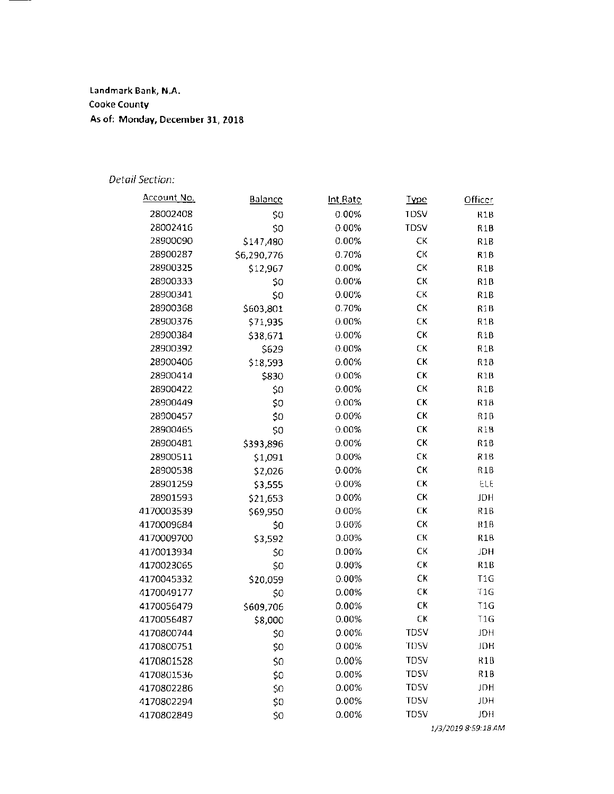**landmark Bank, N.A. Cooke County As of: Monday, December 31, 2018** 

#### *Detail Section:*

| <u>Account No.</u> | Balance     | <u>Int Rate</u> | <b>Type</b> | Officer          |
|--------------------|-------------|-----------------|-------------|------------------|
| 28002408           | \$0         | 0.00%           | <b>TDSV</b> | R <sub>1</sub> B |
| 28002416           | \$0         | 0.00%           | <b>TDSV</b> | R1B              |
| 28900090           | \$147,480   | 0.00%           | СK          | R1B              |
| 28900287           | \$6,290,776 | 0.70%           | СK          | R1B              |
| 28900325           | \$12,967    | 0.00%           | СK          | R <sub>1</sub> B |
| 28900333           | \$0         | 0.00%           | СK          | R1B              |
| 28900341           | \$0         | 0.00%           | СK          | R <sub>1</sub> B |
| 28900368           | \$603,801   | 0.70%           | СK          | R <sub>1</sub> B |
| 28900376           | \$71,935    | 0.00%           | СK          | R <sub>1</sub> B |
| 28900384           | \$38,671    | 0.00%           | СK          | R <sub>1</sub> B |
| 28900392           | \$629       | 0.00%           | СK          | R <sub>1</sub> B |
| 28900406           | \$18,593    | 0.00%           | CK          | R1B              |
| 28900414           | \$830       | 0.00%           | СK          | R1B              |
| 28900422           | \$0         | 0.00%           | CK          | R <sub>1</sub> B |
| 28900449           | \$0         | 0.00%           | CK          | R1B              |
| 28900457           | \$0         | 0.00%           | CK          | R1B              |
| 28900465           | \$0         | 0.00%           | СK          | R1B              |
| 28900481           | \$393,896   | 0.00%           | СK          | R <sub>1</sub> B |
| 28900511           | \$1,091     | 0.00%           | СK          | R <sub>1</sub> B |
| 28900538           | \$2,026     | 0.00%           | CК          | R <sub>1</sub> B |
| 28901259           | \$3,555     | 0.00%           | СK          | ELE              |
| 28901593           | \$21,653    | 0.00%           | СK          | JDH              |
| 4170003539         | \$69,950    | 0.00%           | СK          | R1B              |
| 4170009684         | \$0         | 0.00%           | СK          | R1B              |
| 4170009700         | \$3,592     | 0.00%           | СK          | R <sub>1</sub> B |
| 4170013934         | \$0         | 0.00%           | СK          | JDH              |
| 4170023065         | \$0         | 0.00%           | СK          | R <sub>1</sub> B |
| 4170045332         | \$20,059    | 0.00%           | СK          | T <sub>1G</sub>  |
| 4170049177         | \$0         | 0.00%           | СK          | T <sub>1G</sub>  |
| 4170056479         | \$609,706   | 0.00%           | СK          | T1G              |
| 4170056487         | \$8,000     | 0.00%           | СK          | T1G              |
| 4170800744         | \$0         | 0.00%           | <b>TDSV</b> | <b>HQL</b>       |
| 4170800751         | \$0         | 0.00%           | TDSV        | JDH              |
| 4170801528         | \$0         | 0.00%           | <b>TDSV</b> | R1B              |
| 4170801536         | \$0         | 0.00%           | <b>TDSV</b> | R <sub>1</sub> B |
| 4170802286         | \$0         | 0.00%           | <b>TDSV</b> | JDH              |
| 4170802294         | \$0         | 0.00%           | <b>TDSV</b> | JDH              |
| 4170802849         | \$0         | 0.00%           | <b>TDSV</b> | <b>JDH</b>       |

*1/3/2019 8·59:18 AM*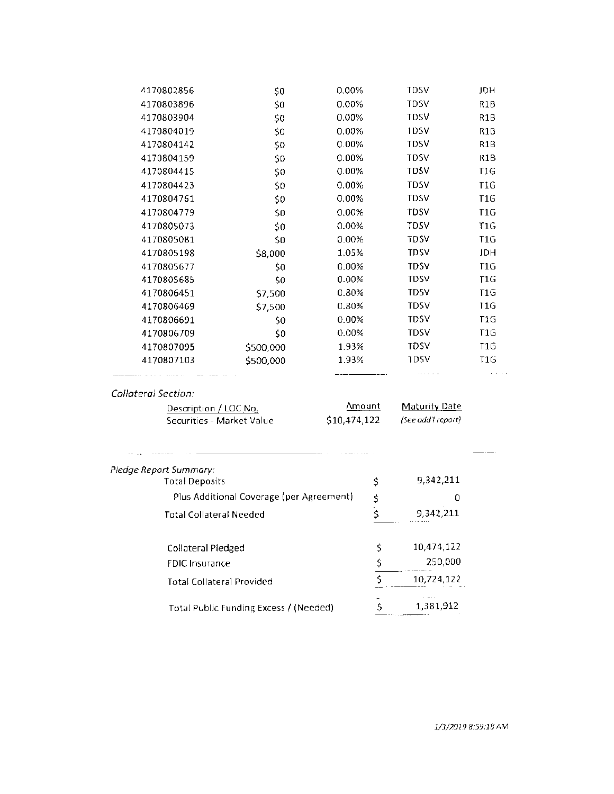| 4170802856 | \$0       | 0.00%    | <b>TDSV</b> | JDH              |
|------------|-----------|----------|-------------|------------------|
| 4170803896 | \$0       | 0.00%    | <b>TDSV</b> | R1B              |
| 4170803904 | \$0       | 0.00%    | <b>TDSV</b> | R1B              |
| 4170804019 | \$0       | 0.00%    | 1DSV        | R1B              |
| 4170804142 | \$0       | $0.00\%$ | <b>TDSV</b> | R <sub>1</sub> B |
| 4170804159 | \$0       | $0.00\%$ | <b>TDSV</b> | R <sub>1</sub> B |
| 4170804415 | \$0       | 0.00%    | <b>TDSV</b> | T1G              |
| 4170804423 | \$0       | 0.00%    | <b>TDSV</b> | T <sub>1</sub> G |
| 4170804761 | \$0       | 0.00%    | <b>TDSV</b> | T <sub>1</sub> G |
| 4170804779 | \$0       | 0.00%    | TDSV        | T1G              |
| 4170805073 | 50        | 0.00%    | TDSV        | T1G              |
| 4170805081 | \$0       | 0.00%    | <b>TDSV</b> | T <sub>1</sub> G |
| 4170805198 | \$8,000   | 1.05%    | TDSV        | JDH              |
| 4170805677 | \$0       | 0.00%    | <b>TDSV</b> | T <sub>1</sub> G |
| 4170805685 | \$0       | 0.00%    | <b>TDSV</b> | T1G              |
| 4170806451 | \$7,500   | $0.80\%$ | <b>TDSV</b> | T <sub>1</sub> G |
| 4170806469 | \$7,500   | 0.80%    | <b>TDSV</b> | T <sub>1G</sub>  |
| 4170806691 | \$0       | $0.00\%$ | <b>TDSV</b> | T1G              |
| 4170806709 | \$0       | 0.00%    | <b>TDSV</b> | T1G              |
| 4170807095 | \$500,000 | 1.93%    | <b>TDSV</b> | T <sub>1</sub> G |
| 4170807103 | \$500,000 | 1.93%    | TDSV        | T1G              |
|            |           |          | .           |                  |
|            |           |          |             |                  |

#### Collateral Section:

| Description / LOC No.     | Amount       | Maturity Date      |
|---------------------------|--------------|--------------------|
| Securities - Market Value | \$10,474,122 | (See add'I report) |

| Pledge Report Summary:                   |    |            |  |
|------------------------------------------|----|------------|--|
| <b>Total Deposits</b>                    | \$ | 9,342,211  |  |
| Plus Additional Coverage (per Agreement) | \$ | 0          |  |
| <b>Total Collateral Needed</b>           |    | 9.342.211  |  |
| Collateral Pledged                       | S  | 10,474,122 |  |
| <b>FDIC Insurance</b>                    |    | 250,000    |  |
| <b>Total Collateral Provided</b>         |    | 10,724,122 |  |
| Total Public Funding Excess / (Needed)   |    | 1,381,912  |  |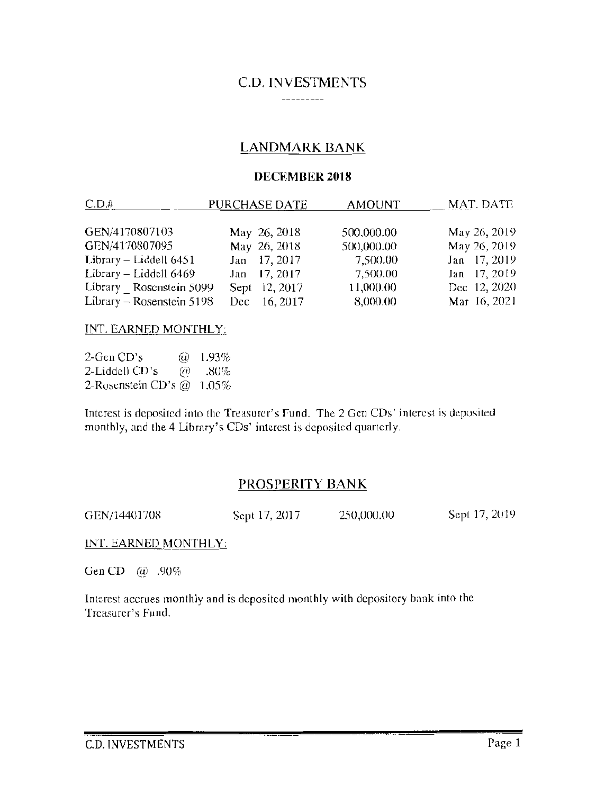#### C.D. INVESTMENTS ----------

## LANDMARK BANK

#### DECEMBER 2018

| $C.D.$ #                  | PURCHASE DATE   | <b>AMOUNT</b> | MAT. DATE    |
|---------------------------|-----------------|---------------|--------------|
|                           |                 |               |              |
| GEN/4170807103            | May 26, 2018    | 500,000.00    | May 26, 2019 |
| GEN/4170807095            | May 26, 2018    | 500,000.00    | May 26, 2019 |
| Library $-$ Liddell 6451  | Jan 17, 2017    | 7,500.00      | Jan 17, 2019 |
| Library - Liddell 6469    | Jan 17, 2017    | 7,500.00      | Jan 17, 2019 |
| Library Rosenstein 5099   | Sept 12, 2017   | 11,000.00     | Dec 12, 2020 |
| Library - Rosenstein 5198 | 16, 2017<br>Dec | 8,000.00      | Mar 16, 2021 |

#### INT. EARNED MONTHLY:

 $2$ -Gen CD's 2-Liddell CD's 2-Rosenstein CD's  $@$  1.05%  $\omega$  1.93%  $\omega$  .80%

Interest is deposited into the Treasurer's Fund. The 2 Gcn CDs' interest is deposited monthly, and the 4 Library's COs' interest is deposited quarterly.

## PROSPERITY BANK

GEN/14401708 Sept 17, 2017 250,000.00 Sept 17, 2019

INT. EARNED MONTHLY:

Gen CD @ .90%

Interest accrues monthly and is deposited monthly with depository hank into the Treasurer's Fund.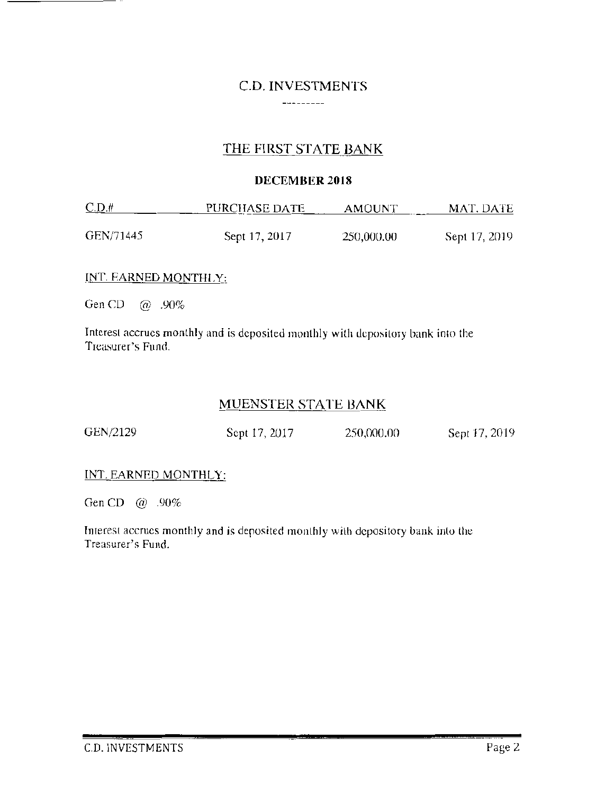### C.D. INVESTMENTS  $-$  -  $-$  -  $-$  -  $-$  -  $-$

# THE FIRST STATE BANK

#### DECEMBER 2018

| C.D.t.    | PURCHASE DATE | AMOUNT     | MAT. DATE     |
|-----------|---------------|------------|---------------|
| GEN/71445 | Sept 17, 2017 | 250,000.00 | Sept 17, 2019 |

### INT. EARNED MONTHLY:

GenCO @ .90%

Interest accrues monthly and is deposited monthly with depository bank into the Treasurer's Fund.

# MUENSTER STATE BANK

| GEN/2129 | Sept 17, 2017 | 250,000.00 | Sept 17, 2019 |
|----------|---------------|------------|---------------|
|----------|---------------|------------|---------------|

### INT. EARNED MONTHLY:

Gen CD @ .90%

Interest accrues monthly and is deposited monthly with depository bank into the Treasurer's Fund.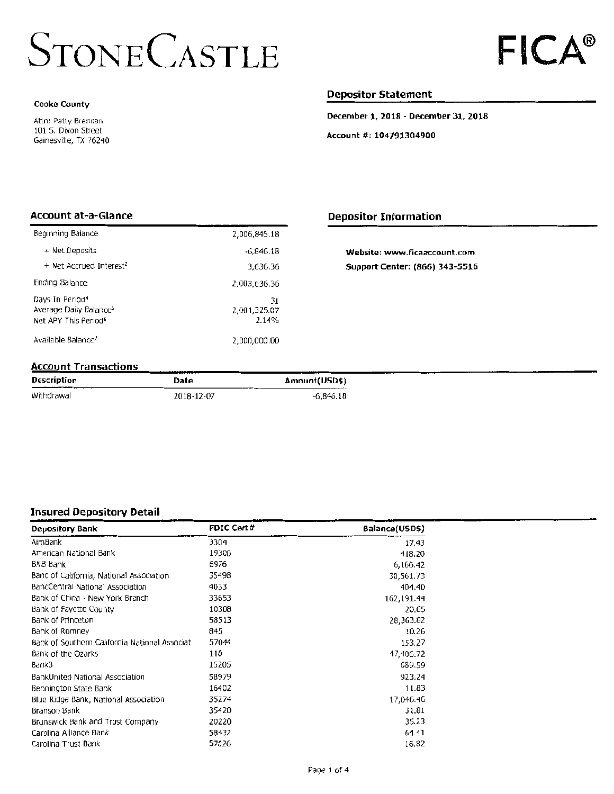# **STONE CASTLE**

#### **Cooke County**

Attn: Palty Brennan 101 5. Dixon Street Gainesville, TX 76240

#### **Depositor Statement**

**December 1, 2018- December 31, 2018** 

**Account#: 104791304900** 

#### **Account at-a-Glance**

| Beginning Balance                                                                                        | 2,006,846.18                |  |  |  |  |  |
|----------------------------------------------------------------------------------------------------------|-----------------------------|--|--|--|--|--|
| + Net Deposits                                                                                           | -6.846.18                   |  |  |  |  |  |
| + Net Accrued Interest <sup>2</sup>                                                                      | 3,636.36                    |  |  |  |  |  |
| Ending Balance                                                                                           | 2,003,636.36                |  |  |  |  |  |
| Days In Period <sup>4</sup><br>Average Daily Balance <sup>&gt;</sup><br>Net APY This Period <sup>6</sup> | 31<br>2,001,325.07<br>2.14% |  |  |  |  |  |
| Available Balance <sup>7</sup>                                                                           | 2,000,000.00                |  |  |  |  |  |

#### **Depositor Information**

| Website: www.ficaaccount.com          |
|---------------------------------------|
| <b>Support Center: (866) 343-5516</b> |

#### **Account Transactions**

| Description | Date       | Amount(USD\$) |
|-------------|------------|---------------|
| Withdrawal  | 2018-12-07 | $-6,846.18$   |

#### **Insured Depository Detail**

| <b>Depository Bank</b>                        | <b>FDIC Cert#</b> | Balance(USD\$) |
|-----------------------------------------------|-------------------|----------------|
| AimBank                                       | 3304              | 17.43          |
| American National Bank                        | 19300             | 418.20         |
| <b>BNB Bank</b>                               | 6976              | 6,166.42       |
| Banc of California, National Association      | 35498             | 30,561,73      |
| BancCentral National Association              | 4033              | 404.40         |
| Bank of China - New York Branch               | 33653             | 162,191.44     |
| Bank of Fayette County                        | 10308             | 20.65          |
| Bank of Princeton                             | 58513             | 28,363.82      |
| Bank of Romney                                | 845               | 10.26          |
| Bank of Southern California National Associat | 57044             | 153.27         |
| Bank of the Ozarks                            | 110               | 47,406.72      |
| Bank3                                         | 15205             | 689.59         |
| BankUnited National Association               | 58979             | 923.24         |
| Bennington State Bank                         | 16402             | 11.83          |
| Blue Ridge Bank, National Association         | 35274             | 17,046.46      |
| Branson Bank                                  | 35420             | 31.81          |
| Brunswick Bank and Trust Company              | 20220             | 35.23          |
| Carolina Alliance Bank                        | 58432             | 64.41          |
| Carolina Trust Bank                           | 57026             | 16,82          |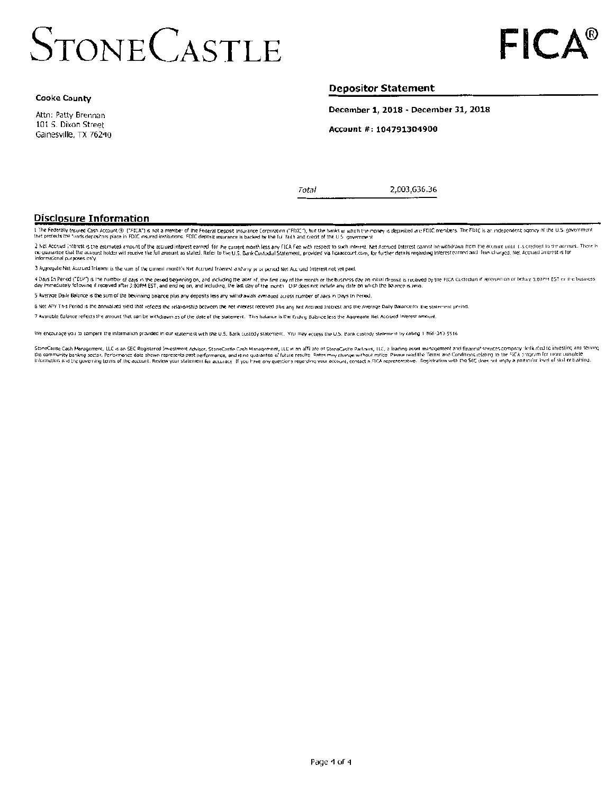# **STONE CASTLE**

Attn: Patty Brennan 101 S. Dixon Street Gainesville, TX 76240

#### **Depositor Statement**

December 1, 2018 - December 31, 2018

Account #: 104791304900

Total

2,003,636.36

#### **Disclosure Information**

the Federally Insured Cash Account (i) ("FICA") is not a member of the Federal Deposit insurance Corporation ("FDIC"), hut the banks in which the money is deposited att FDIC members. The FDIC is an independent agency of th

2 het Accrued Interest is the estimated amount of the accrued interest earned for the ourient monthless any FICA Fee with respect to such interest. Net Accrued Interest cannot he withdrawn from the accruit to the control o

3 Aggregate Net Accrued Interest is the sum of the current month's Net Accrued Interest and any price period Net Accrued Interest not yet paid.

4 Days In Period ("DIP") is the number of days in the period beginning on, and including the fater of, the first cay of the month or the business day an initial deposit is received by the FICA Custodian of received on the day immediately following if received after 3:00PM EST, and ending on, and including, the last day of the month. OIP does not include any date on which the banner is seriously following if received after 3:00PM EST, and en

5 Average Daily Balance is the sum of the beginning balance plus any deposits less any withdrawals averaged across number of days in Days In Penod.

6 Net APY This Period is the annualized vield that reflects the relationship between the net interest received plus any Net Accrudd Interest and the Average Daily Balance for the statement period.

7 Available Balance reflects the amount that can be withdrawn as of the date of the statement. This balance is the Endiric Bulance less the Aggregate Net Accrued Interest amount

We encourage you to compare the information provided in our statement with the U.S. Bank custody statement. You may access the U.S. Bank custody statement by calling 1866-343-5516.

StoneCaste Cash Management, LLC is an SEC Registered Investment Advisor, StoneCastle Cash Management, LLC is mailliate of StoneCastle Parlieris, LLC, a leading somt management and financial company ilerity can be struck in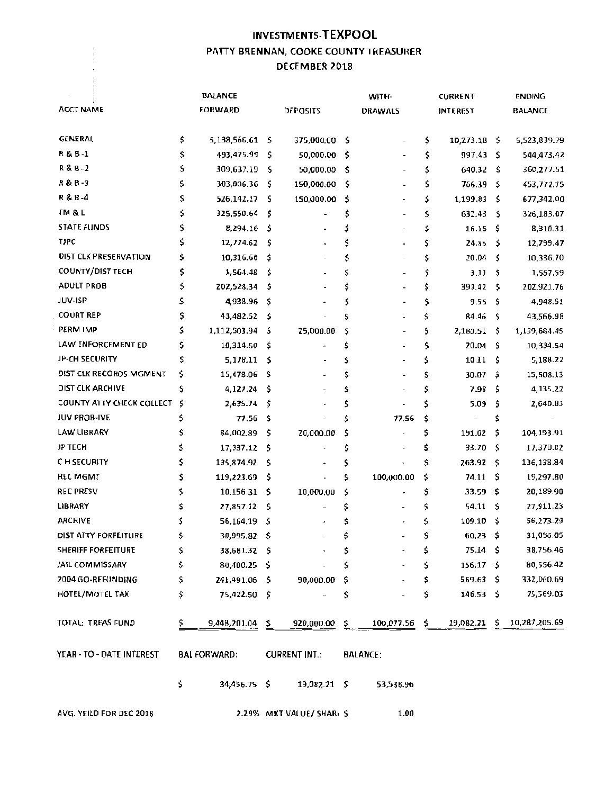# INVESTMENTS· TEXPOOL PATTY BRENNAN, COOKE COUNTY TREASURER DECEMBER 2018

 $\begin{array}{c} 1 \\ 1 \\ 1 \\ 3 \end{array}$ 

|                           | <b>BALANCE</b>      |     |                           |     | WITH-           | <b>CURRENT</b>           |      | <b>ENDING</b>  |
|---------------------------|---------------------|-----|---------------------------|-----|-----------------|--------------------------|------|----------------|
| <b>ACCT NAME</b>          | <b>FORWARD</b>      |     | DEPOSITS                  |     | <b>DRAWALS</b>  | <b>INTEREST</b>          |      | <b>BALANCE</b> |
|                           |                     |     |                           |     |                 |                          |      |                |
| GENERAL                   | \$<br>5,138,566.61  | s   | 375,000.00 \$             |     |                 | \$<br>10,273.18 \$       |      | 5,523,839.79   |
| R & B-1                   | \$<br>493,475.99    | \$  | 50,000.00                 | -\$ |                 | \$<br>997.43             | S    | 544,473.42     |
| R&B-2                     | \$<br>309,637.19    | \$  | 50,000.00                 | -\$ |                 | \$<br>640.32             | S    | 360,277.51     |
| R & B -3                  | \$<br>303,006.36    | \$  | 150,000.00                | -\$ |                 | \$<br>766.39             | \$   | 453,772.75     |
| R & B -4                  | \$<br>526,142.17    | \$  | 150,000.00                | -\$ |                 | \$<br>1,199.83           | S    | 677,342.00     |
| FM & L                    | \$<br>325,550.64    | \$  | ۰                         | \$  |                 | \$<br>632.43             | -\$  | 326,183.07     |
| <b>STATE FUNDS</b>        | \$<br>8,294.16      | \$  |                           | \$  |                 | \$<br>16.15              | - \$ | 8,310.31       |
| <b>TJPC</b>               | \$<br>12,774.62     | \$  |                           | \$  |                 | \$<br>24.85              | -\$  | 12,799.47      |
| DIST CLK PRESERVATION     | \$<br>10,316.66     | \$  |                           | \$  |                 | \$<br>20.04              | s    | 10,336.70      |
| <b>COUNTY/DIST TECH</b>   | \$<br>1,564.48      | \$  |                           | \$  |                 | \$<br>3.11               | S    | 1,567.59       |
| <b>ADULT PROB</b>         | \$<br>202,528.34    | \$  |                           | \$  |                 | \$<br>393.42             | \$   | 202,921.76     |
| JUV-ISP                   | \$<br>4,938.96      | \$  |                           | \$  |                 | \$<br>9.55               | -S   | 4,948.51       |
| <b>COURT REP</b>          | \$<br>43,482.52     | \$  |                           | Ś   |                 | \$<br>84.46              | \$   | 43,566.98      |
| PERM IMP                  | \$<br>1,112,503.94  | \$  | 25,000.00                 | \$  |                 | \$<br>2,180.51           | \$.  | 1,139,684.45   |
| LAW ENFORCEMENT ED        | \$<br>10,314.50     | \$  | ٠                         | \$  |                 | \$<br>20.04              | \$.  | 10,334.54      |
| JP-CH SECURITY            | \$<br>5,178.11      | \$  |                           | \$  |                 | \$<br>10.11              | \$.  | 5,188.22       |
| DIST CLK RECORDS MGMENT   | \$<br>15,478.06     | \$  |                           | \$  |                 | \$<br>30.07              | -\$  | 15,508.13      |
| DIST CLK ARCHIVE          | \$<br>4,127.24      | \$  |                           | \$  |                 | \$<br>7.98               | S    | 4,135.22       |
| COUNTY ATTY CHECK COLLECT | \$<br>2,635.74      | \$  |                           | \$  |                 | \$<br>5.09               | \$   | 2,640.83       |
| <b>JUV PROB-IVE</b>       | \$<br>77.56         | \$  |                           | \$  | 77.56           | \$                       | \$   |                |
| LAW LIBRARY               | \$<br>84,002.89     | \$  | 20,000.00                 | \$  |                 | \$<br>191.02             | \$.  | 104,193.91     |
| JP TECH                   | \$<br>17,337.12     | \$, |                           | \$  |                 | \$<br>33.70              | -\$  | 17,370.82      |
| C H SECURITY              | \$<br>135,874.92    | \$  |                           | \$  |                 | \$<br>263.92             | -S   | 136,138.84     |
| <b>REC MGMT</b>           | \$<br>119,223.69    | \$  |                           | \$  | 100,000.00      | \$<br>74.11              | \$   | 19,297.80      |
| <b>REC PRESV</b>          | \$<br>10,156.31     | \$  | 10,000.00                 | Ś   | $\overline{a}$  | \$<br>33.59              | s    | 20,189.90      |
| LIBRARY                   | \$<br>27,857.12     | \$  |                           | \$  |                 | \$<br>54.11              | -S   | 27,911.23      |
| <b>ARCHIVE</b>            | \$<br>56,164.19     | \$  |                           | s   |                 | \$<br>109.10             | \$   | 56,273.29      |
| DIST ATTY FORFEITURE      | \$<br>30,995.82     | \$  |                           | \$  |                 | \$<br>60.23              | \$   | 31,056.05      |
| SHERIFF FORFEITURE        | \$<br>38,681.32 \$  |     | $\tilde{\phantom{a}}$     | \$  |                 | \$<br>$75.14\frac{1}{2}$ |      | 38,756.46      |
| JAIL COMMISSARY           | \$<br>80,400.25 \$  |     |                           | \$  |                 | \$<br>$156.17 \quad$ \$  |      | 80,556.42      |
| 2004 GO-REFUNDING         | \$<br>241,491.06 \$ |     | 90,000.00                 | - S |                 | \$<br>$569.63 \quad $$   |      | 332,060.69     |
| <b>HOTEL/MOTEL TAX</b>    | \$<br>75,422.50 \$  |     |                           | \$  |                 | \$<br>$146.53 \quad$ \$  |      | 75,569.03      |
| TOTAL: TREAS FUND         | \$<br>9,448,201.04  | \$  | 920,000.00                | \$. | 100,077.56      | \$<br>19,082.21          | \$   | 10,287,205.69  |
| YEAR - TO - DATE INTEREST | <b>BAL FORWARD:</b> |     | <b>CURRENT INT.:</b>      |     | <b>BALANCE:</b> |                          |      |                |
|                           | \$<br>34,456.75 \$  |     | $19,082.21$ \$            |     | 53,538.96       |                          |      |                |
| AVG. YEILD FOR DEC 2018   |                     |     | 2.29% MKT VALUE/ SHARI \$ |     | 1.00            |                          |      |                |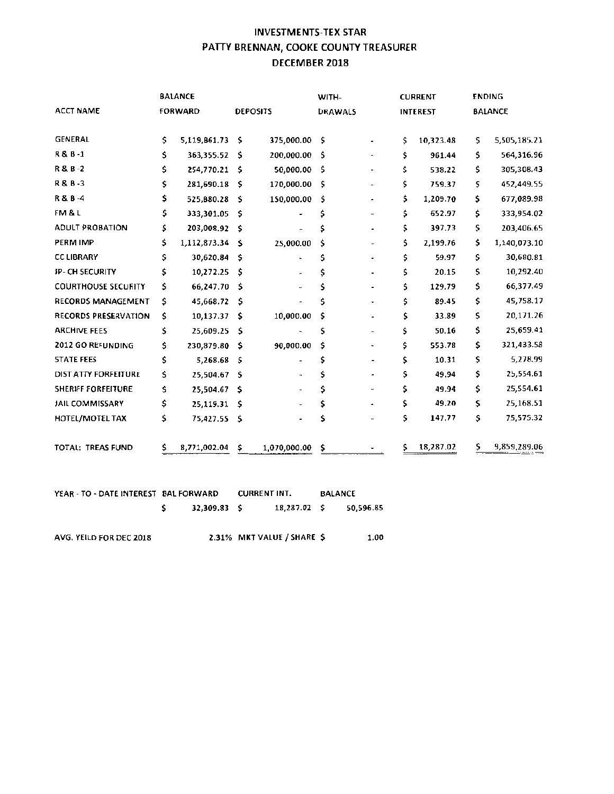# INVESTMENTS-TEX STAR PATIY BRENNAN, COOKE COUNTY TREASURER DECEMBER 2018

|                            | <b>BALANCE</b> |                   |      | WITH-           |                |  |    | <b>CURRENT</b>  | <b>ENDING</b> |              |  |
|----------------------------|----------------|-------------------|------|-----------------|----------------|--|----|-----------------|---------------|--------------|--|
| <b>ACCT NAME</b>           |                | <b>FORWARD</b>    |      | <b>DEPOSITS</b> | <b>DRAWALS</b> |  |    | <b>INTEREST</b> |               | BALANCE      |  |
|                            |                |                   |      |                 |                |  |    |                 |               |              |  |
| <b>GENERAL</b>             | \$             | $5,119,861.73$ \$ |      | 375,000.00      | - \$           |  | \$ | 10,323.48       | \$            | 5,505,185.21 |  |
| R & B-1                    | Ś.             | 363,355.52 \$     |      | 200,000.00      | Ŝ              |  | \$ | 961.44          | Ś.            | 564,316.96   |  |
| R&B-2                      | Ś.             | 254,770.21 \$     |      | 50,000.00       | Ś              |  | \$ | 538.22          | \$            | 305,308.43   |  |
| R & B -3                   | \$             | 281,690.18 \$     |      | 170,000.00      | - \$           |  | \$ | 759.37          | \$            | 452,449.55   |  |
| R&B-4                      | \$.            | 525,B80.28        | Š.   | 150,000.00      | \$             |  | \$ | 1,209.70        | \$            | 677,089.98   |  |
| FM & L                     | \$.            | 333,301.05 \$     |      |                 | \$             |  | \$ | 652.97          | \$            | 333,954.02   |  |
| <b>ADULT PROBATION</b>     | \$.            | 203,008.92 \$     |      |                 | \$             |  | \$ | 397.73          | s             | 203,406.65   |  |
| PERM IMP                   | \$.            | 1,112,873.34 \$   |      | 25,000.00       | \$             |  | \$ | 2,199.76        | \$            | 1,140,073.10 |  |
| <b>CC LIBRARY</b>          | S              | 30,620.84         | \$   |                 | Ś              |  | \$ | 59.97           | S             | 30,680.81    |  |
| <b>JP- CH SECURITY</b>     | \$             | 10,272.25 \$      |      |                 | \$             |  | \$ | 20.15           | \$            | 10,292.40    |  |
| <b>COURTHOUSE SECURITY</b> | \$             | 66,247.70 \$      |      |                 | \$             |  | \$ | 129.79          | \$            | 66,377.49    |  |
| RECORDS MANAGEMENT         | \$             | 45,668.72         | -S   |                 | Ś              |  | \$ | 89.45           | \$            | 45,758.17    |  |
| RECORDS PRESERVATION       | \$             | $10,137.37$ \$    |      | 10,000.00       | \$             |  | \$ | 33.89           | \$            | 20,171.26    |  |
| <b>ARCHIVE FEES</b>        | \$             | 25,609.25 \$      |      |                 | \$             |  | \$ | 50.16           | \$            | 25,659.41    |  |
| 2012 GO REFUNDING          | \$             | 230,879.80        | - \$ | 90,000.00       | \$             |  | \$ | 553.78          | \$            | 321,433.58   |  |
| <b>STATE FEES</b>          | Ś.             | 5,268.68          | -\$  |                 | \$             |  | \$ | 10.31           | \$            | 5,278.99     |  |
| DIST ATTY FORFEITURE       | \$             | 25,504.67 \$      |      |                 | \$             |  | s  | 49.94           | \$            | 25,554.61    |  |
| SHERIFF FORFEITURE         | \$             | 25,504.67 \$      |      |                 | \$             |  | \$ | 49.94           | \$            | 25,554.61    |  |
| JAIL COMMISSARY            | \$             | 25,119.31 \$      |      |                 | \$             |  | \$ | 49.20           | \$            | 25,168.51    |  |
| HOTEL/MOTEL TAX            | \$.            | 75,427.55 \$      |      |                 | \$             |  | S  | 147.77          | Ş             | 75,575.32    |  |
| TOTAL: TREAS FUND          | \$             | 8,771,002.04      | \$   | 1,070,000.00    | \$             |  | \$ | 18,287.02       | \$            | 9,859,289.06 |  |

| YEAR - TO - DATE INTEREST BAL FORWARD |  |              | <b>CURRENT INT.</b> |                            | <b>BALANCE</b> |      |  |
|---------------------------------------|--|--------------|---------------------|----------------------------|----------------|------|--|
|                                       |  | 32,309,83 \$ |                     | 18,287.02 \$ 50,596.85     |                |      |  |
| AVG, YEILD FOR DEC 2018               |  |              |                     | 2.31% MKT VALUE / SHARE \$ |                | 1.00 |  |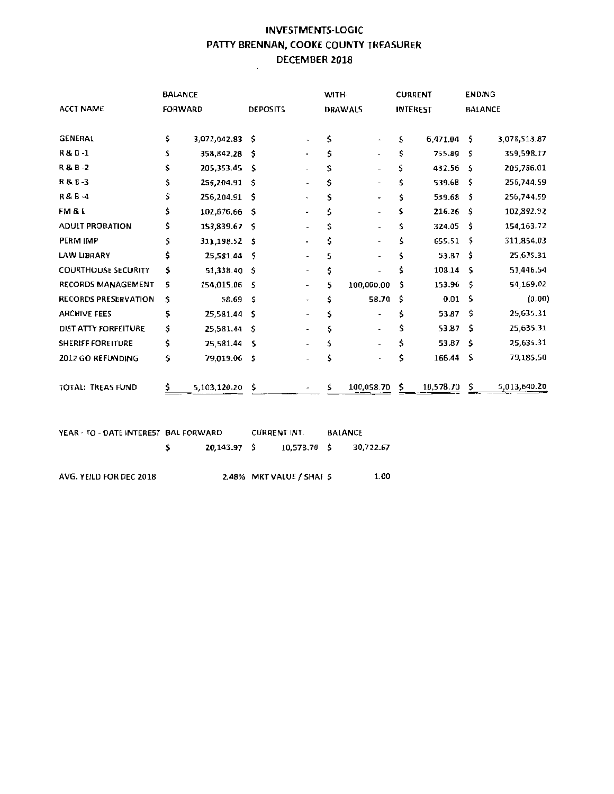## **INVESTMENTS-LOGIC PATTY BRENNAN, COOKE COUNTY TREASURER DECEMBER 2018**

|                             |    | <b>BALANCE</b> |                 |                          | WITH- |                          |    | <b>CURRENT</b>  |     | <b>ENDING</b>  |
|-----------------------------|----|----------------|-----------------|--------------------------|-------|--------------------------|----|-----------------|-----|----------------|
| <b>ACCT NAME</b>            |    | FORWARD        | <b>DEPOSITS</b> |                          |       | <b>DRAWALS</b>           |    | <b>INTEREST</b> |     | <b>BALANCE</b> |
| <b>GENERAL</b>              | \$ | 3,072,042.83   | - Ŝ             |                          | \$    | $\hat{\phantom{a}}$      | s  | 6,471.04        | Ŝ.  | 3,078,513.87   |
| R & B-1                     | Ś. | 358,842.28     | ŝ.              |                          | \$    | $\overline{\phantom{a}}$ | \$ | 755.89          | s   | 359,598.17     |
| R&B-2                       | s  | 205,353.45     | - \$            |                          | \$    |                          | \$ | 432.56          | -S  | 205,786.01     |
| R & B-3                     | \$ | 256,204.91     | -S              | $\overline{\phantom{a}}$ | Ś     | $\hat{\phantom{a}}$      | \$ | 539.68          | \$  | 256,744.59     |
| R & B -4                    | \$ | 256,204.91     | Š.              | $\overline{\phantom{a}}$ | Ś     |                          | \$ | 539.68          | Ŝ.  | 256,744.59     |
| FM & L                      | \$ | 102,676.66     | s               | ۰                        | \$    | ۰                        | s  | 216.26          | Ŝ   | 102,892.92     |
| <b>ADULT PROBATION</b>      | \$ | 153,839.67     | -Ś              | $\overline{\phantom{0}}$ |       |                          | \$ | 324.05          | \$  | 154,163.72     |
| <b>PERM IMP</b>             | S  | 311,198.52     | -Ś              | $\blacksquare$           |       | ۰                        | Ś  | 655.51          | Ŝ   | 311,854.03     |
| <b>LAW LIBRARY</b>          | \$ | 25,581.44      | -Ś              | $\overline{\phantom{a}}$ | S     | $\overline{a}$           | \$ | 53.87           | \$. | 25,635.31      |
| <b>COURTHOUSE SECURITY</b>  | \$ | 51,338.40      | -Ś              | $\overline{\phantom{a}}$ | \$    |                          | \$ | 108.14          | s   | 51,446.54      |
| <b>RECORDS MANAGEMENT</b>   | 5  | 154,015.06     | - \$            | $\overline{\phantom{a}}$ | \$    | 100,000.00               | \$ | 153.96          | Ŝ.  | 54,169.02      |
| <b>RECORDS PRESERVATION</b> | \$ | 58.69          | Ŝ.              | ۰                        | \$    | 58.70                    | \$ | 0.01            | s   | (0.00)         |
| <b>ARCHIVE FEES</b>         | \$ | 25,581.44      | Ŝ               | $\overline{\phantom{a}}$ | Ś     | $\blacksquare$           | \$ | 53.87           | Ŝ   | 25,635.31      |
| DIST ATTY FORFEITURE        | \$ | 25,581.44      | -Ś              |                          | Ś     | $\overline{\phantom{0}}$ | \$ | 53.87           | \$  | 25,635.31      |
| <b>SHERIFF FOREITURE</b>    | \$ | 25,581.44      | Ŝ               | $\overline{\phantom{a}}$ | Ś     | $\overline{\phantom{a}}$ | \$ | 53.87           | Ŝ.  | 25,635.31      |
| 2012 GO REFUNDING           | \$ | 79,019.06      | - 5             |                          |       |                          | \$ | 166.44          | .s  | 79,185.50      |
| <b>TOTAL: TREAS FUND</b>    | \$ | 5,103,120.20   | -\$             |                          | \$    | 100,058.70               | \$ | 10,578.70       | \$  | 5,013,640.20   |

| YEAR - TO - DATE INTEREST BAL FORWARD |             | <b>CURRENT INT.</b> |              | <b>BALANCE</b> |           |  |
|---------------------------------------|-------------|---------------------|--------------|----------------|-----------|--|
|                                       | 20,143.97 S |                     | 10.578.70 \$ |                | 30.722.67 |  |

AVG. YEILD FOR DEC 2018 2.48% MKT VALUE / SHAF \$ 1.00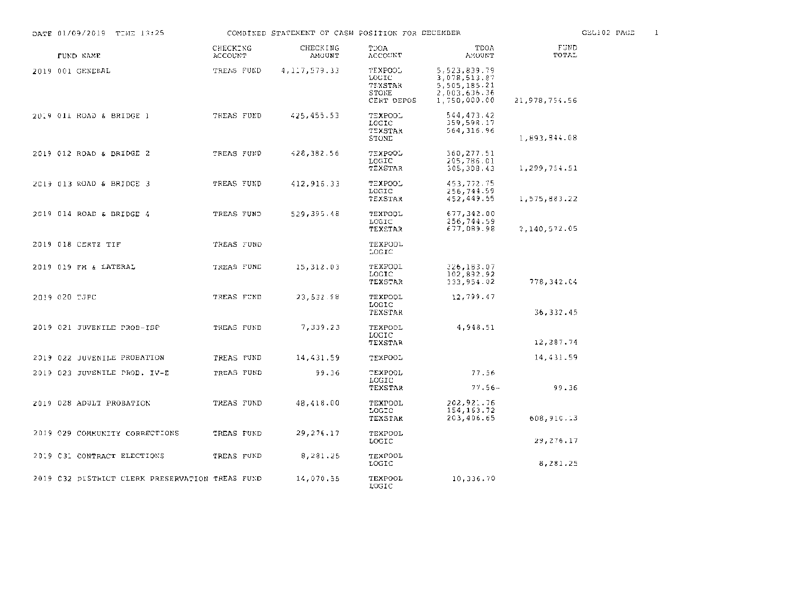| DATE 01/09/2019 TIME 13:25                      |                     | COMBINED STATEMENT OF CASH POSITION FOR DECEMBER |                                                    |                                                                              |               | GEL102 PAGE | 1 |
|-------------------------------------------------|---------------------|--------------------------------------------------|----------------------------------------------------|------------------------------------------------------------------------------|---------------|-------------|---|
| FUND NAME                                       | CHECKING<br>ACCOUNT | CHECKING<br>AMOUNT                               | TOOA<br>ACCOUNT                                    | TDOA<br>AMOUNT                                                               | FUND<br>TOTAL |             |   |
| 2019 001 GENERAL                                | TREAS FUND          | 4,117,579.33                                     | TEXPOOL<br>LOGIC<br>TEXSTAR<br>STONE<br>CERT DEPOS | 5,523,839.79<br>3,078,513,87<br>5,505,185.21<br>2,003,636.36<br>1,750,000.00 | 21,978,754.56 |             |   |
| 2019 Oli ROAD & BRIDGE 1                        | TREAS FUND          | 425,455.53                                       | TEXPOOL<br>LOGIC<br>TEXSTAR<br>STONE               | 544,473.42<br>359,598.17<br>564, 316.96                                      | 1,893,844.08  |             |   |
| 2019 012 ROAD & BRIDGE 2                        | TREAS FUND          | 428,382.56                                       | TEXPOOL<br>LOGIC<br>TEXSTAR                        | 560,277.51<br>205,786.01<br>305,308.43                                       | 1,299,754.51  |             |   |
| 2019 013 ROAD & BRIDGE 3                        | TREAS FUND          | 412,916.33                                       | TEXPOOL<br>LOGIC<br>TEXSTAR                        | 453,772.75<br>256,744.59<br>452,449.55                                       | 1,575,883.22  |             |   |
| 2019 014 ROAD & DRIDGE 4                        | TREAS FUND          | 529,395.48                                       | TEXPOOL<br><b>LOGIC</b><br>TEXSTAR                 | 677,342.00<br>256,744.59<br>677,089.98                                       | 2,140,572.05  |             |   |
| 2019 018 CERTZ TIF                              | TREAS FUND          |                                                  | TEXPOOL<br>TOCIC                                   |                                                                              |               |             |   |
| 2019 019 FM & LATERAL                           | TREAS FUND          | 15,312.03                                        | TEXPOOL<br>LOGIC<br>TEXSTAR                        | 326,183.07<br>102,892.92<br>333,954.02                                       | 778,342.04    |             |   |
| 2019 020 TJPC                                   | TREAS FUND          | 23,532.98                                        | TEXPOOL<br>LOGIC<br>TEXSTAR                        | 12,799.47                                                                    | 36, 332.45    |             |   |
| 2019 021 JUVENILE PROB-ISP                      | TREAS FUND          | 7,339.23                                         | TEXPOOL<br>LOCIC<br>TEXSTAR                        | 4,948.51                                                                     | 12,287.74     |             |   |
| 2019 022 JUVENILE PROBATION                     | TREAS FUND          | 14,431.59                                        | TEXPOOL                                            |                                                                              | 14,431.59     |             |   |
| 2019 023 JUVENILE PROB. IV-E                    | TREAS FUND          | 99.36                                            | TEXPOOL<br>TOGIC<br>TEXSTAR                        | 77.56<br>$77.56 -$                                                           | 99.36         |             |   |
| 2019 028 ADULT PROBATION                        | TREAS FUND          | 48,418.00                                        | TEXPOOL<br>LOGIC<br>TEXSTAR                        | 202,921.76<br>154, 163. 72<br>203,406.65                                     | 608,910.13    |             |   |
| 2019 029 COMMUNITY CORRECTIONS                  | TREAS FUND          | 29,276.17                                        | TEXPOOL<br><b>LOCIC</b>                            |                                                                              | 29, 276. 17   |             |   |
| 2019 C31 CONTRACT ELECTIONS                     | TREAS FUND          | 8,281,25                                         | TEXPOOL<br>LOGIC                                   |                                                                              | 8,281.25      |             |   |
| 2019 C32 DISTRICT CLERK PRESERVATION TREAS FUND |                     | 14,070.55                                        | TEXPOOL<br>T OC T C                                | 10,336.70                                                                    |               |             |   |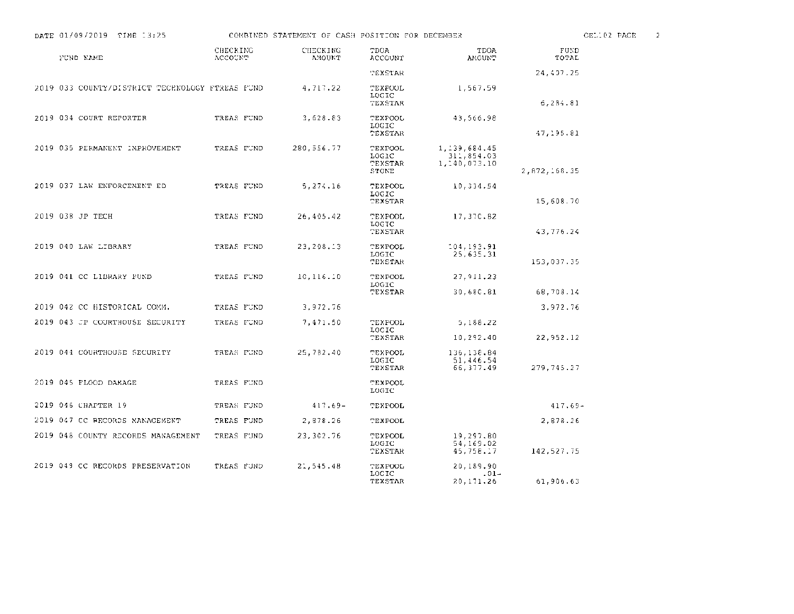| DATE 01/09/2019 TIME 13:25                      |                            | COMBINED STATEMENT OF CASH POSITION FOR DECEMBER |                                      |                                               |               | CELIOZ PACE | 2 |
|-------------------------------------------------|----------------------------|--------------------------------------------------|--------------------------------------|-----------------------------------------------|---------------|-------------|---|
| FUND NAME                                       | CHECKING<br><b>ACCOUNT</b> | CHECKING<br><b>AMOUNT</b>                        | TDOA<br>ACCOUNT                      | <b>TDOA</b><br><b>AMOUNT</b>                  | FUND<br>TOTAL |             |   |
|                                                 |                            |                                                  | TEXETAR                              |                                               | 24,407.25     |             |   |
| 2019 033 COUNTY/DISTRICT TECHNOLOGY FTREAS FUND |                            | 4,717.22                                         | TEXPOOL<br>LOGIC<br>TEXSTAR          | 1,567.59                                      | 6,284.81      |             |   |
| 2019 034 COURT REPORTER                         | TREAS FUND                 | 3,628.83                                         | TEXPOOL<br>LOGIC<br>TEXSTAR          | 43,566.98                                     | 47, 195.81    |             |   |
| 2019 035 PERMANENT IMPROVEMENT                  | TREAS FUND                 | 280,556.77                                       | TEXPOOL<br>LOGIC<br>TEXSTAR<br>STONE | 1, 139, 684, 45<br>311,854.03<br>1,140,073.10 | 2,872,168.35  |             |   |
| 2019 037 LAW ENFORCEMENT ED                     | TREAS FUND                 | 5,274.16                                         | TEXPOOL<br>LOGIC<br>TEXSTAR          | 10,334.54                                     | 15,608.70     |             |   |
| 2019 038 JP TECH                                | TREAS FUND                 | 26,405.42                                        | TEXPOOL<br>LOGIC<br>TEXSTAR          | 17,370.82                                     | 43,776.24     |             |   |
| 2019 040 LAW LIBRARY                            | TREAS FUND                 | 23,208.13                                        | TEXPOOL<br>LOGIC<br>TEXSTAR          | 104,193.91<br>25,635,31                       | 153,037.35    |             |   |
| 2019 041 CC LIBRARY FUND                        | TREAS FUND                 | 10, 116.10                                       | TEXPOOL<br>LOGIC                     | 27, 911, 23                                   |               |             |   |
|                                                 |                            |                                                  | TEXSTAR                              | 30,680.81                                     | 68,708.14     |             |   |
| 2019 042 CC HISTORICAL COMM.                    | TREAS FUND                 | 3,972.76                                         |                                      |                                               | 3,972.76      |             |   |
| 2019 043 JP COURTHOUSE SECURITY                 | TREAS FUND                 | 7,471.50                                         | TEXPOOL<br>LOCIC                     | 5,188.22                                      |               |             |   |
|                                                 |                            |                                                  | TEXSTAR                              | 10,292.40                                     | 22,952.12     |             |   |
| 2019 044 COURTHOUSE SECURITY                    | TREAS FUND                 | 25,782,40                                        | TEXPOOL<br>LOGIC<br>TEXSTAR          | 136,138.84<br>51,446.54<br>66, 377.49         | 279,745.27    |             |   |
| 2019 045 FLOOD DAMAGE                           | TREAS FUND                 |                                                  | TEXPOOL<br><b>LOGIC</b>              |                                               |               |             |   |
| 2019 046 CHAPTER 19                             | TREAS FUND                 | $417.69 -$                                       | TEXPOOL                              |                                               | $417.69 -$    |             |   |
| 2019 047 CC RECORDS MANAGEMENT                  | TREAS FUND                 | 2,878.26                                         | TEXPOOL                              |                                               | 2,878.26      |             |   |
| 2019 048 COUNTY RECORDS MANAGEMENT              | TREAS FUND                 | 23,302.76                                        | TEXPOOL<br>LOGIC<br>TEXSTAR          | 19,297.80<br>54,169.02<br>45,758.17           | 142,527.75    |             |   |
| 2019 049 CC RECORDS PRESERVATION                | TREAS FUND                 | 21,545.48                                        | TEXPOOL<br>LOGIC<br>TEXSTAR          | 20.189.90<br>$.01 -$<br>20,171.26             | 61,906.63     |             |   |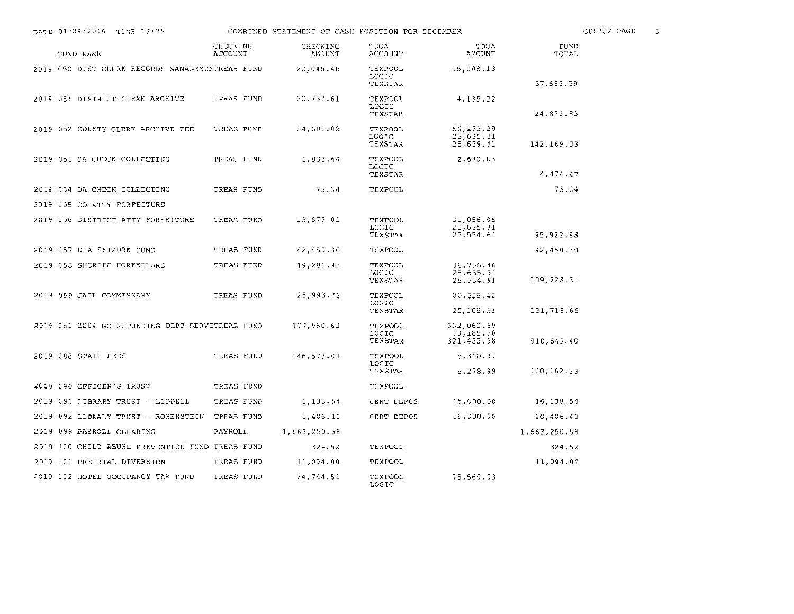| DATE 01/09/2019 TIME 13:25                      |                            | COMBINED STATEMENT OF CASE POSITION FOR DECEMBER |                                    |                                       |               | CEL102 PAGE |
|-------------------------------------------------|----------------------------|--------------------------------------------------|------------------------------------|---------------------------------------|---------------|-------------|
| FUND NAME                                       | CHECKING<br><b>ACCOUNT</b> | CHECKING<br>AMOUNT                               | <b>TDOA</b><br>ACCOUNT             | TDOA<br>AMOUNT                        | FUND<br>TOTAL |             |
| 2019 050 DIST CLERK RECORDS MANAGEMENTREAS FUND |                            | 22,045.46                                        | TEXPOOL<br>LOGIC<br>TEXSTAR        | 15,508.13                             | 37,553.59     |             |
| 2019 051 DISTRICT CLERK ARCHIVE                 | TREAS PUND                 | 20,737.61                                        | TEXPOOL<br>LOGIC<br>TEXSTAR        | 4,135.22                              | 24,872.83     |             |
| 2019 052 COUNTY CLERK ARCHIVE FEE               | TREAS FUND                 | 34,601.02                                        | TEXPOOL<br>LOGIC<br>TEXSTAR        | 56,273.29<br>25,635.31<br>25,659.41   | 142,169.03    |             |
| 2019 053 CA CHECK COLLECTING                    | TREAS FUND                 | 1,833.64                                         | TEXPOOL<br>LOCIC<br>TEXSTAR        | 2,640.83                              | 4, 474.47     |             |
| 2019 054 DA CHECK COLLECTING                    | TREAS FUND                 | 75.34                                            | <b>TEXPOOL</b>                     |                                       | 75.34         |             |
| 2019 055 CO ATTY FORFEITURE                     |                            |                                                  |                                    |                                       |               |             |
| 2019 056 DISTRICT ATTY FORFEITURE               | TREAS FUND                 | 13,677.01                                        | TEXPOOL<br>LOGIC<br>TEXSTAR        | 31,056.05<br>25,635.31<br>25,554.61   | 95,922.98     |             |
| 2019 057 D A SEIZURE FUND                       | TREAS FUND                 | 42,450.30                                        | TEXPOOL                            |                                       | 42,450.30     |             |
| 2019 058 SHERIFF FORFEITURE                     | TREAS FUND                 | 19,281.93                                        | TEXPOOL<br>LOCIC<br>TEXSTAR        | 38,756.46<br>25,635.31<br>25,554.61   | 109,228.31    |             |
| 2019 059 JAIL COMMISSARY                        | TREAS FUND                 | 25,993.73                                        | <b>TEXPOOL</b><br>LOGIC<br>TEXSTAR | 80,556.42<br>25, 168.51               | 131,718.66    |             |
| 2019 061 2004 GO REFUNDING DEDT SERVITREAS FUND |                            | 177,960,63                                       | TEXPOOL<br>LOGIC<br>TEXSTAR        | 332,060.69<br>79,185.50<br>321,433.58 | 910,640.40    |             |
| 2019 088 STATE FEES                             | TREAS FUND                 | 146,573.03                                       | TEXPOOL<br>LOGIC<br>TEXSTAR        | 8,310.31<br>5,278.99                  | 160,162.33    |             |
| 2019 C90 OFFICER'S TRUST                        | TREAS FUND                 |                                                  | TEXPOOL                            |                                       |               |             |
| 2019 091 LIBRARY TRUST - LIDDELL                | TREAS FUND                 | 1,138.54                                         | CERT DEPCS                         | 15,000.00                             | 16,138.54     |             |
| 2019 092 LIBRARY TRUST - ROSENSTEIN             | TREAS FUND                 | 1,406.40                                         | CERT DEPOS                         | 19,000.00                             | 20,406.40     |             |
| 2019 098 PAYROLL CLEARING                       | PAYROLL                    | 1,663,250.58                                     |                                    |                                       | 1,663,250.58  |             |
| 2019 100 CHILD ABUSE PREVENTION FUND TREAS FUND |                            | 324.52                                           | TEXPOOL                            |                                       | 324.52        |             |
| 2019 101 PRETRIAL DIVERSION                     | TREAS FUND                 | 11,094.00                                        | TEXPOOL                            |                                       | 11,094.00     |             |
| 2019 102 HOTEL OCCUPANCY TAX FUND               | TREAS FUND                 | 34,744,51                                        | TEXPOOL<br>LOGIC                   | 75,569.03                             |               |             |

 $\overline{\phantom{a}}$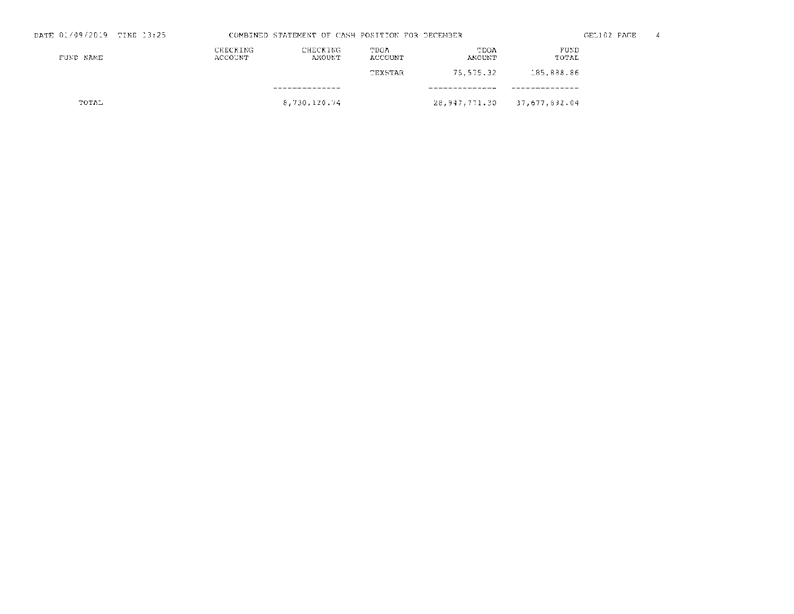| DATE 01/09/2019 TIME 13:25 |                     | COMBINED STATEMENT OF CASH POSITION FOR DECEMBER |                 |                             |               | GEL102 PAGE | -4 |
|----------------------------|---------------------|--------------------------------------------------|-----------------|-----------------------------|---------------|-------------|----|
| FUND NAME                  | CEECKING<br>ACCOUNT | CHECKING<br>AMOUNT                               | TDOA<br>ACCOUNT | TDOA<br>AMOUNT              | FUND<br>TOTAL |             |    |
|                            |                     |                                                  | TEXSTAR         | 75,575.32                   | 185,888.86    |             |    |
|                            |                     | . _ _ _ _ _ _ _ _ _ _ _ _ _                      |                 |                             |               |             |    |
| TOTAL                      |                     | 8,730,120,74                                     |                 | 28,947,771.30 37,677,892.04 |               |             |    |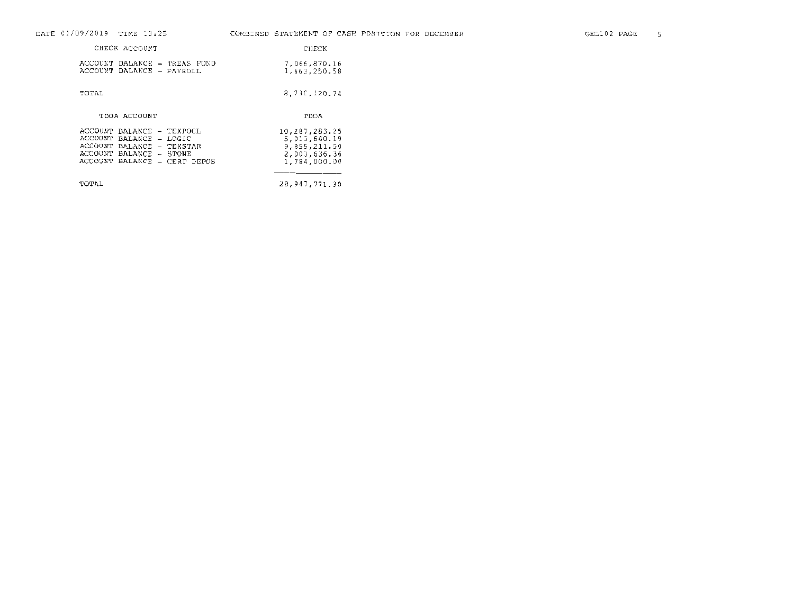| DATE 01/09/2019 TIME 13:25                                                                                                                   | COMBINED STATEMENT OF CASH POSITION FOR DECEMBER                              |
|----------------------------------------------------------------------------------------------------------------------------------------------|-------------------------------------------------------------------------------|
| CHECK ACCOUNT                                                                                                                                | CHECK                                                                         |
| ACCOUNT BALANCE - TREAS FUND<br>ACCOUNT BALANCE - PAYROLL                                                                                    | 7,066,870.16<br>1,663,250.58                                                  |
| TOTAL                                                                                                                                        | 8.73C, 120.74                                                                 |
| TDOA ACCOUNT                                                                                                                                 | TDOA                                                                          |
| ACCOUNT BALANCE - TEXPOCL<br>ACCOUNT BALANCE - LOGIC<br>ACCOUNT BALANCE - TEXSTAR<br>ACCOUNT BALANCE - STONE<br>ACCOUNT BALANCE - CERT DEPOS | 10,287,283.25<br>5,013,640.19<br>9,859,211.50<br>2,003,636.36<br>1,784,000.00 |
| TOTAL                                                                                                                                        | 28,947,771,30                                                                 |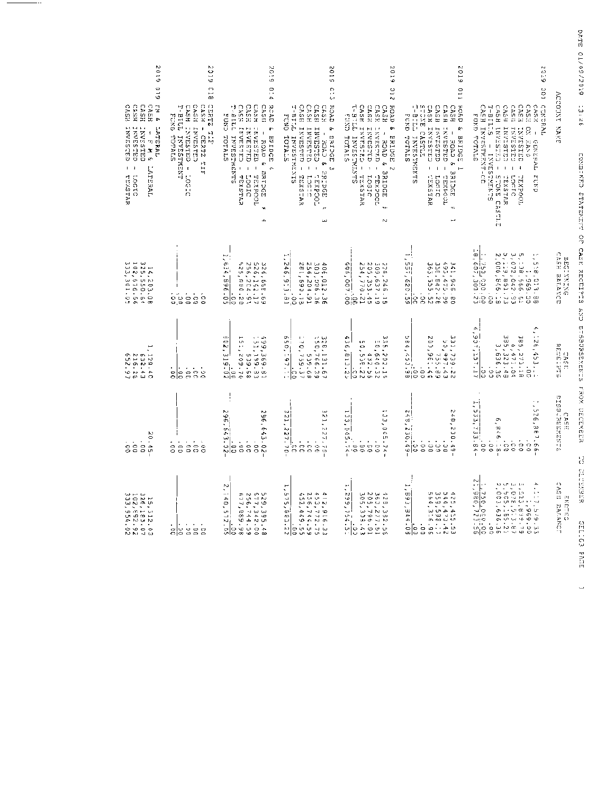| 610Z<br>610<br>CASA<br>CASA<br>E.M &<br><b>CASH</b><br>CASH<br><b>INVESTED</b><br>CRVESTED<br><b>LNVESTED</b><br><b>LATERAL</b><br>$\pmb{\mathsf{I}}$<br>ᄓ<br>x<br>e<br>ı<br>LAFERAL<br>$\mathbf{I}$<br>01907<br>TEXSTAR | Κ,<br>6 L G<br>e 1 a<br>CASH<br>CERTZZ<br><b>CASH</b><br>CASH<br>T-BILL<br>FUND TOTALS<br>TNVESTED -<br>INVESTED<br>$\blacksquare$<br>H<br>CERRIZ<br>TANDS-TAND<br>III<br>21301 | <b>9102</b><br>0.14<br>CASH IN<br>T-BILL<br>CASH<br>CASH<br><b>RCAD</b><br><b>CA58</b><br>សារ<br>TNVESTED<br>P,<br>INVESTED<br><b>LESTESTED</b><br>1<br><b>TOTALS</b><br>INVESTMENTS<br><b>BRIDGE</b><br>ROAD & BRTDGE<br>$\bar{1}$<br>Ļ,<br>TEXETAR<br>TOORXEL<br>DIDOT<br>٦þ.<br>۵D. | 5102<br>Ċ,<br>ω<br><b>CASH</b><br><b>CASH</b><br><b>ROAD</b><br><b>CASH</b><br>EASH<br>THIST<br>FUND TOTALS<br>- CELSIANI<br>INVESTRD -<br>r<br><b>INVESTED</b><br>$\,$<br><b>SRIPCE</b><br>INVESTMENTS<br>ROAD &<br>لم)<br>3501188<br>TEXSIAR<br>TOCHXE-<br>222C1<br>-re<br>w | 2019<br>2 I G<br>ROAD<br>CASH<br>CASH<br>CASH<br>17116-1<br>CASH<br>CNE1<br>ę,<br>INVESTED<br>INVESTED<br>- ROAD 6<br>LNVESTED -<br>TOTALS<br>INVESTRINTS<br>BRIDGE<br>1<br>$\overline{1}$<br>$\mathsf I$<br>$\sim$<br><b>BRIDGE</b><br>TEXSTAR<br><b>JIDCIL</b><br>TODEX34<br>٦t<br>Ν | 2019<br><b>C11</b><br>ROAD<br>CASH INVESTED<br>STONE CASTLE<br>T-BILL INVEST<br><b>CASH</b><br><b>CASH</b><br>CASH<br>FUND TOTALS<br>Larger School<br>Ŗ.<br>INVESTED<br>CHASSANI<br>1<br><b>BRIDGE</b><br>INTESTRENT<br>3 CHOE<br>Î,<br>Ē<br>ω<br>TEXETAR<br>TCOdXEL<br><b>Locit</b><br><b>RIDCE</b><br>U)<br>$\Pi$ is<br>нd, | 6702<br><b>DC</b><br>CASH<br>CASH INVESTMENT-CD<br>$T = B \; T \; L \; . \; S$<br>CASH INVESTS -<br>CASIL<br>CASH<br>CASE<br>CASE<br>GINERAL<br>FUKD<br>g<br><b>LANDSTRIP</b><br>CELEEANI<br><b>CRASSING</b><br>Ţ<br>TOTALS<br>- INVESTMENTS<br>にゅうご<br>GENERAL<br>$\overline{\phantom{a}}$<br>d x 2.3<br>STONE CASTLE<br>LOCTC<br>TEXSTAR<br>TOOGX3L | PATE 01/09/2019<br>NUCCONNE KAME<br>$-3:26$<br>CONGINEER SERVICE OF CARE SHOULDING |
|--------------------------------------------------------------------------------------------------------------------------------------------------------------------------------------------------------------------------|---------------------------------------------------------------------------------------------------------------------------------------------------------------------------------|----------------------------------------------------------------------------------------------------------------------------------------------------------------------------------------------------------------------------------------------------------------------------------------|--------------------------------------------------------------------------------------------------------------------------------------------------------------------------------------------------------------------------------------------------------------------------------|----------------------------------------------------------------------------------------------------------------------------------------------------------------------------------------------------------------------------------------------------------------------------------------|-------------------------------------------------------------------------------------------------------------------------------------------------------------------------------------------------------------------------------------------------------------------------------------------------------------------------------|-------------------------------------------------------------------------------------------------------------------------------------------------------------------------------------------------------------------------------------------------------------------------------------------------------------------------------------------------------|------------------------------------------------------------------------------------|
| 14 - 203 - 08<br>325 - 550 - 64<br>332 - 676 - 66<br>333 - 301 - 05                                                                                                                                                      | $\cdot$<br>$\pmb{\cdot}$<br>$\overset{\scriptscriptstyle\Box}{\circ}$<br>$\begin{smallmatrix} 0 & 0 \\ 0 & 0 \end{smallmatrix}$<br>၀ပ္                                          | $\overline{\phantom{a}}$ :<br>$\frac{20.368}{24.596.05}$<br>326, 665.69<br>526, 142.17<br>256, 204.91<br>لس<br>is?,<br>380<br>$\frac{2}{8}$                                                                                                                                            | ۰<br>246,<br>406,012,36<br>200,006.36<br>256,204.91<br>281,590.18<br>$\ddot{\phantom{0}}$<br>أحما<br>$\frac{6}{10}$                                                                                                                                                            | 226, 224<br>2005, 332<br>2005, 232<br>م<br>96'<br>$\frac{100}{20}$ . 00<br>Ė<br>٠<br>$\frac{1}{2}$<br>$\ddot{ }$<br>$\overline{1}$<br>စေ                                                                                                                                               | $\overline{\phantom{a}}$<br>$\overline{\phantom{a}}$<br>ing<br>Si<br>341-946-80<br>495-452-26<br>355-542-26<br>363-552-52<br>c<br>$\frac{26.36}{20.35}$<br>$\frac{1}{2}$                                                                                                                                                      | $\frac{1}{8}$<br>5, 138, 25, 25<br>3, 072, 042, 93<br>2, 006, 846, 18<br>2, 006, 846, 10<br>1.1<br>ŀ<br>750, 300, 23<br>607, 300, 23<br>ă<br>$-2996 - 1$<br>8,013.<br>$\cdot$ 0 0<br>$\omega$<br>ပေး                                                                                                                                                  | CASH BALANCE<br><b>BEGINNING</b>                                                   |
| 1,129.41<br>216.26<br>632.41<br>652.97                                                                                                                                                                                   | $\ddot{\circ}$<br>٠<br>$\frac{1}{2}$<br>5<br>Ιs<br>Š<br>C                                                                                                                       | $\cdot$ .<br>Œ<br>499,369.<br>Š.<br>51,199.8<br>$\frac{1}{2}$ $\frac{3}{2}$ 19.02<br>299.70<br>539.<br>ç<br>$\infty$<br>∾i∽<br>œ<br>$\omega$ $-$                                                                                                                                       | ç<br>150,766.3<br>040<br>328,131.<br>50, 197.<br>539.68<br>1759.37<br>$\sigma$<br>lo<br>د ا∙ ∙<br>r<br>N                                                                                                                                                                       | £,<br>335,202<br>1 J1<br>ပ္ပံ<br>5<br>0.640.3<br>$-5.55$<br>el 1.<br>432.51<br>$\ddot{ }$<br>Ł,<br>G<br>Z<br>c.<br>NONU<br>lc,                                                                                                                                                         | $\frac{86}{96}$ : $\frac{653}{96}$ , $\frac{984}{96}$<br>N<br>331,739<br>20),946.25.39<br>20),946.25<br>$50.92.22$<br>$50.997.63$<br>ė<br>$\omega$ N                                                                                                                                                                          | ć,<br>Ê<br>907,157.17<br>ω<br>نىا<br>26,<br>06,471.0<br>385,323.45<br>œ<br>ŕ,<br>3,636.36<br>ĉ<br>21<br>ټ<br>č.<br>٠<br>$\frac{1}{2}$<br>$\circ$<br>င္ပ<br>င္မ<br>Œ<br>Œ.<br>c                                                                                                                                                                        | STIRMSSAGESTO CIA<br>カウロウロゼリ<br>CASE<br>U:                                         |
| 20.45<br>$\frac{1}{2}$<br>$_{\rm 00}$ .<br>C O                                                                                                                                                                           | $\overline{\phantom{0}}$ 0 0<br>$rac{1}{6}$<br>Š<br>S<br>S                                                                                                                      | $-26.679992$<br>20 27 36<br>$\frac{1}{5}$<br>S<br>S                                                                                                                                                                                                                                    | ندا<br>ω<br>21,<br>21,227.<br>227.<br>$\blacksquare$<br>$\frac{5}{6}$<br>$\frac{1}{2}$<br>ă<br>Ġ,<br>$\Xi$                                                                                                                                                                     | ٠<br>ίE<br>لما<br>په<br>$-0.55$ .<br>$\frac{1}{2}$<br>$\cdot$<br>÷.<br>S<br>3<br>G.<br>ទី<br>$-72$<br>Ļ                                                                                                                                                                                | 24<br>249,<br>œ<br>÷<br>Ņ,<br>$\frac{230.63}{230.49}$<br>30.49<br>$\frac{1}{2}$<br>$\rm\stackrel{.}{\circ}$<br>$\rm \dot{S}$                                                                                                                                                                                                  | $\ddot{\phantom{0}}$<br>비<br>۰<br>526,887.66<br>$\frac{5}{2}$<br>ō١<br>۰<br>$-846.98 - 8$<br>$-33.84 -$<br>$\frac{1}{\circ}$<br>$\frac{1}{\alpha}$<br>8                                                                                                                                                                                               | <b><i>LROX DECEMENR</i></b><br>2月15日,见周围区回忆<br>CASE<br>50<br>å                     |
| $\omega$ - $\omega$<br>$\omega \circ \omega \sim$<br>uNmu<br>m.<br>$\sim$ $\sim$<br>3<br>28<br>28<br>28<br>29<br>$\begin{array}{c} 2.0000 \\ 0.0000 \\ 0.0000 \\ 0.0000 \end{array}$                                     | $\bullet$<br>٠<br>$\frac{8}{5}$<br>္ဗ<br>읽음                                                                                                                                     | Z<br>۰<br>p.<br>のとりい<br>4<br>J<br>ا۔ ص<br>$\sim$<br>$\circ$<br>Ļ<br>$\sim$ $\frac{1}{2}$<br>Φ<br>$\frac{1}{2}$<br>٠<br>$\hat{\phantom{a}}$<br>.680.<br>$-744.5$<br>395.01<br>ز ب<br>$\frac{1}{2}$<br>$\frac{6}{3}$<br>$\frac{1}{3}$<br>6<br>െ ജ                                        | T<br>as ha lo lo<br>$\zeta_I$<br>いいいー<br>Ч<br>U<br>12,916.93<br>25,772.727<br>25,772.727<br>۰.<br>ç<br>m<br>F<br>N,<br>Ù<br>$\sim$ $\circ$<br>ç<br><b>www</b>                                                                                                                  | F<br>$\overline{\phantom{a}}$<br>۶.)<br>きょうきょう<br>١٥<br>$\tilde{\epsilon}$<br>annan<br>Sannan<br>Sannan<br>$-1$<br>$\mathbf{U}^{\mathbf{1}}$ :<br>řί.<br>÷.<br>6.9<br>2.5<br>÷<br>البا<br>c<br>ىيا<br>ن ا ۱۰<br>$- - \sigma$                                                           | つうきょう<br>Ğθ<br>Ť,<br>$\frac{6}{3}$<br>5<br>14<br>14<br>ۣ<br>ω<br>ω<br>תו כ-<br>4<br>$\blacksquare$ :<br>É<br>$\omega$ $\omega$ $\omega$<br>$\ddot{\phantom{a}}$<br>ጣ<br>$\frac{1}{96}$<br>$\frac{1}{2}$ . $\frac{1}{4}$<br>$rac{1}{x}$<br>سه ۱.۱ س                                                                            | N<br>によ<br>E9' £99'<br>BE-' 595<br>BE-' 595<br>SER CO<br>ω<br>ر<br>cc.<br> ש⊓<br>c<br>þ<br>۰<br>v<br>25.31<br>$\mathcal{H}_{\rm{eff}}$<br>ت بن<br>ب<br>تقبيب<br>Ó<br>¢<br>$\cdot$<br>$\hat{\phantom{a}}$<br>eie<br>Sie<br>$\rm ^{\circ}$<br>いい<br>œ.<br>نما ن ار.<br>w<br>чл<br>O W                                                                   | ę.<br>白尾尾尾尾<br>n<br>S SV.<br>сицама<br><b>RALANCE</b><br>221123<br>EXA             |

 $\overline{a}$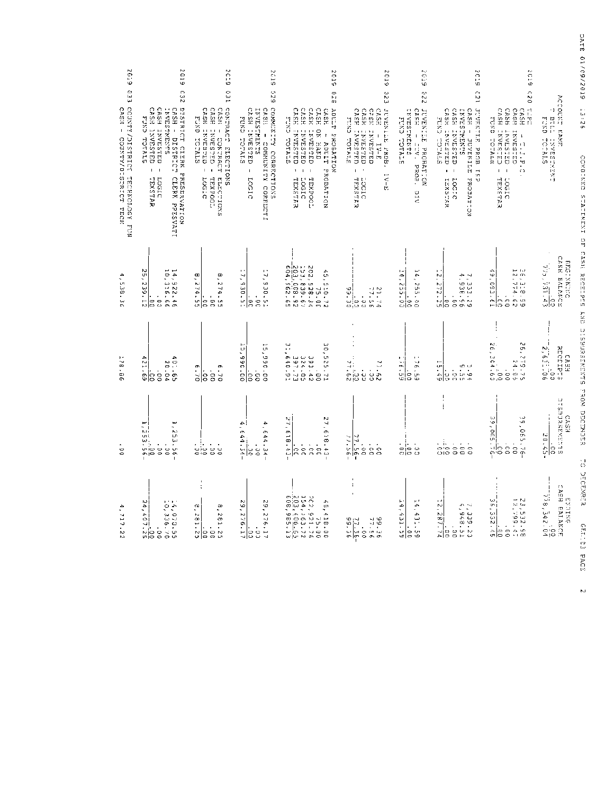| 6192<br>ن ج<br>با                                          | 2019<br><b>C32</b>                                                                                                                                                                                                 | 20.<br>Ю<br>CΩ<br>Π                                                                                                                                            | 2019<br>520                                                                                                                                                                                                | 2019<br>02 E                                                                                                                                                                                                                                                                                | 2019<br>22                                                                                                                                                                                   | Š<br>φ<br>220                                                                                      | Ř<br>IJ,<br>123                                                                                                                                                                                                                                                                                                                                   | n<br>C<br>Ф<br>o                                                                                                                                                                                  |                                                                            | DATE 01/09/2019                                  |
|------------------------------------------------------------|--------------------------------------------------------------------------------------------------------------------------------------------------------------------------------------------------------------------|----------------------------------------------------------------------------------------------------------------------------------------------------------------|------------------------------------------------------------------------------------------------------------------------------------------------------------------------------------------------------------|---------------------------------------------------------------------------------------------------------------------------------------------------------------------------------------------------------------------------------------------------------------------------------------------|----------------------------------------------------------------------------------------------------------------------------------------------------------------------------------------------|----------------------------------------------------------------------------------------------------|---------------------------------------------------------------------------------------------------------------------------------------------------------------------------------------------------------------------------------------------------------------------------------------------------------------------------------------------------|---------------------------------------------------------------------------------------------------------------------------------------------------------------------------------------------------|----------------------------------------------------------------------------|--------------------------------------------------|
| CONNIX/DISTRICT TECHNON FUN<br>CASH - COUNTY/PISTRICT TECH | DISTRICT CIERN PREEENNATION<br>CASH - DISTRICT CLERN PRESVATI<br>CASH INVESTED<br>CASH INVESTED<br>CASH -<br>INVESTMENTS<br>FUND TOTALS<br>DISTRICT<br>$\mathsf I$<br>$\overline{\phantom{a}}$<br>LOGIC<br>TEXSTAR | CONSIDERED ELECTIONS<br>CASH<br>CASH<br>CASH<br>EUNIO ICINIS<br>INVESTED<br>- CONTRACT<br><b>CELESTAY</b><br>ï<br>$\mathsf I$<br>ELECTIONS<br>TEXFOOL<br>22507 | CONSUNTING CORRECTIONS<br>CASH INVESTED<br>INVESTREES<br>CASE<br>EUND TOTALS<br>1<br>COMMUNITY CORRECTI<br>1<br>21507                                                                                      | CASE<br>CASE<br>CASH<br>CASH<br>ADULTY PROBATION<br>CASE<br>CXC<br><b>TAVESTED</b><br>DN HAND<br><b>TIVESTED</b><br><b>TANDSTED</b><br>t<br><b>TOTALS</b><br><b>Alive</b><br>$1 - 1$<br>PROBATION<br>$\mathbf{I}$<br>TEXETAR<br>21907<br><b>HRXPOC:</b>                                     | CASE<br>CASE<br>CASH<br>CASE<br>JUNEAU NE NEOD.<br>MINU HOTALE<br><b>INVESTED</b><br>INVESTED<br>L<br>NAFSTED<br>$\sf I$<br>$1\,\mathrm{V}-E$<br>$\mathsf I$<br>$1V - E$<br>LOCIC<br>TEXSTAR | <b>TANDALASHAS</b><br>CASS<br>JUVENILE PROBATION<br>FUND COTAIN<br>$\mathsf I$<br>TV. PROB.<br>ΛIC | CASH INVESTED<br>CASH INVESTED<br>OUNEXALLE PROB IN<br>INVESSINES<br>CRS<br>かロスじ けじけばい<br>$\bar{1}$<br><b>JUVENILEE</b><br>$\mathbf{I}$<br>PROPTEON<br>LOGIC<br>IEXSTAR                                                                                                                                                                           | $\tilde{\circ}$<br>t.<br>E<br>CASH<br>CASH<br><b>CASH</b><br>CASH<br>FUND TOTALES<br>n<br><b>LESTED</b><br>HASESTAN<br>TRAFFIC<br>TRAFFIC<br>ā<br>$\mathsf I$<br>$\mathbf{I}$<br>TEXSTAR<br>paso: | ACCOUNT NAME<br>٠,<br>BIL.<br>FUND TOTALS<br>1300 四周 1300 字目               | 35:26<br>COMBINED SIMILATEMENT OF CASH SECTIFIES |
| د<br>۰<br>-38.<br>š                                        | L<br>N<br>0,316.66<br>ښ<br>•<br>4,922.46<br>$\frac{.00}{.239.12}$<br>$\frac{1}{2}$                                                                                                                                 | ۹<br>۳<br>274.5<br>274.55<br>ြင<br>C C<br>LЛ                                                                                                                   | $\blacksquare$<br>Č,<br>ž,<br>G<br>م<br>130.5<br>130.51<br>o<br>O<br>ξ                                                                                                                                     |                                                                                                                                                                                                                                                                                             | ¦دت.<br>$21.72$<br>$-22.72$<br>$\frac{5}{30}$ .                                                                                                                                              | $rac{0.0}{0.0}$ , $rac{0.0}{0.0}$<br>¢,<br>00.922                                                  | 7,333.29<br>4.938.56<br>۹.<br>$\frac{172.25}{272.25}$<br>$\frac{1}{2}$                                                                                                                                                                                                                                                                            | ⊢<br>$\mathbf{L}$<br>56, 318, 95<br>12, 774, 95<br>12, 774, 95<br>$\frac{1}{2}$<br>561.<br>m<br>ြင                                                                                                | CASE EALANCE<br>BMG-28-180<br>$\frac{1}{775},\frac{1}{721},\frac{0.9}{43}$ |                                                  |
| ŀ,<br>żB.<br>ΞG                                            | A,<br>40.65<br>20.65<br>121.69<br>$\frac{1}{3}$<br>ြင                                                                                                                                                              | 6.70<br>6.70<br>$\frac{1}{3}$<br>ခြ                                                                                                                            | j,<br>į.<br>00.09<br>00.056<br>co<br>SO                                                                                                                                                                    | e<br>S<br>ă,<br>324.05<br>297.77<br>640.91<br>525.71<br>393.42<br>$\frac{1}{\mathbf{C}}$                                                                                                                                                                                                    | 77.682<br>17.62<br>$\frac{1}{2}$                                                                                                                                                             | $rac{6}{9}$<br>$rac{6}{9}$<br>$rac{6}{9}$<br>$rac{1}{9}$<br>$rac{1}{9}$                            | Н<br>$rac{5!}{5!}$<br>$\frac{5}{5}$<br>5.75                                                                                                                                                                                                                                                                                                       | న.<br>$\sim$<br>6.779.7<br>364.69<br>$24.6$<br>$\frac{1}{\infty}$<br>Ų.<br>w                                                                                                                      | i<br><b>NHODINI</b><br>2,611.00<br>CA3<br>щ<br>UJ.                         | AND DIGENSING PROM DECENSE                       |
| 8                                                          | $1, 253.56 - 0$<br>$-33.3.56 -$                                                                                                                                                                                    | 룲<br>, !.<br>9,000<br>0,000                                                                                                                                    | $\frac{a}{a}$ , 644.34.<br>4<br>644.34<br>$\frac{1}{\circ}$                                                                                                                                                | 27,618.43<br>27,618.43<br>$\frac{1}{3}$<br>$\frac{1}{10}$<br>ြိ                                                                                                                                                                                                                             | $-\frac{95.77}{900}$<br>$\frac{1}{68}$                                                                                                                                                       | $rac{1}{20}$                                                                                       | $\frac{1}{2}$<br>$\frac{1}{2}$<br>$\frac{1}{2}$<br>$\frac{1}{2}$<br>$\frac{1}{2}$<br>$\frac{1}{2}$<br>$\frac{1}{2}$<br>$\frac{1}{2}$<br>$\frac{1}{2}$<br>$\frac{1}{2}$<br>$\frac{1}{2}$<br><br>$\frac{1}{2}$<br><br>$\frac{1}{2}$<br><br><br><br><br><br><br><br><br><br><br><br><br><br><br><br><br><br><br><br><br><br><br><br><br><br><br><br> | 29,065.<br>ω<br>Ö.<br>$\sim$<br>$-0.65$ .<br>$\cdot$<br>$\sim$<br>공요<br>CO<br>8<br>G                                                                                                              | υ<br>TARKENG<br>İ<br>6333<br>20.45-<br>C<br>D <sub>2</sub><br>G            | ់                                                |
| ۵<br>۰<br>717.<br>Z<br>N)                                  | $\cdots$<br>ىم<br>0, 40<br>- 1<br>- 1073-536<br>- 1073-536<br>२.<br>$rac{8}{90}$                                                                                                                                   | $\ddot{\phantom{1}}$<br>$\ddot{\phantom{a}}$<br>a<br>$\infty$<br>$\sim$<br>٠<br>\$<br>Z<br>Φ<br>H<br>Ě.<br>있음음없                                                | N<br>N<br>e<br>G<br>۰<br>$\overline{\phantom{a}}$<br>$\sim$<br>$\sim$<br>A.<br>$\sim$<br>ĉ<br>$\ddot{\phantom{0}}$<br>C<br>$\overline{\phantom{a}}$<br>븝<br>$\circ$<br>$\circ$<br>$\overline{\phantom{a}}$ | $\begin{array}{l} 4.51.9 \\ 4.52.7 \\ 2.54.16 \\ 2.52.6 \\ 2.52.7 \\ 2.50.9 \\ 2.50.9 \\ 2.50.9 \\ 2.50.9 \\ 2.50.9 \\ 2.50.9 \\ 2.50.9 \\ 2.50.9 \\ 2.50.9 \\ 2.50.9 \\ 2.50.9 \\ 2.50.9 \\ 2.50.9 \\ 2.50.9 \\ 2.50.9 \\ 2.50.9 \\ 2.50.9 \\ 2.50.9 \\ 2.50.9 \\ 2.50.9 \\ 2.50.9 \\ 2.5$ | $\mathbf i$<br>$\ddot{\phantom{a}}$<br>5151<br>FIRITY<br>-16<br>$\frac{1}{2}$ , $\frac{1}{6}$<br>ွ<br>بابه<br>ക മ                                                                            | خ.<br>÷,<br>$\frac{65 \cdot 155}{90}$<br>4<br>H<br> ⇔ ഗ<br>Φ                                       | 7, 339.23<br>$\sim$<br>۰<br>N.<br>œj<br>레<br>$\cdot$<br>ڿۊ<br>$_{\rm o}^{\rm c}$                                                                                                                                                                                                                                                                  | - N<br>w;<br>23, 532. 98<br>23, 532. 99<br>획<br>332.5<br>$\pmb{\cdot}$<br>3<br>이의                                                                                                                 | ENDING<br>CASH RALANCE<br>778, 342.04                                      | ă<br>CEMPER<br>GEELICES<br>PACE                  |

N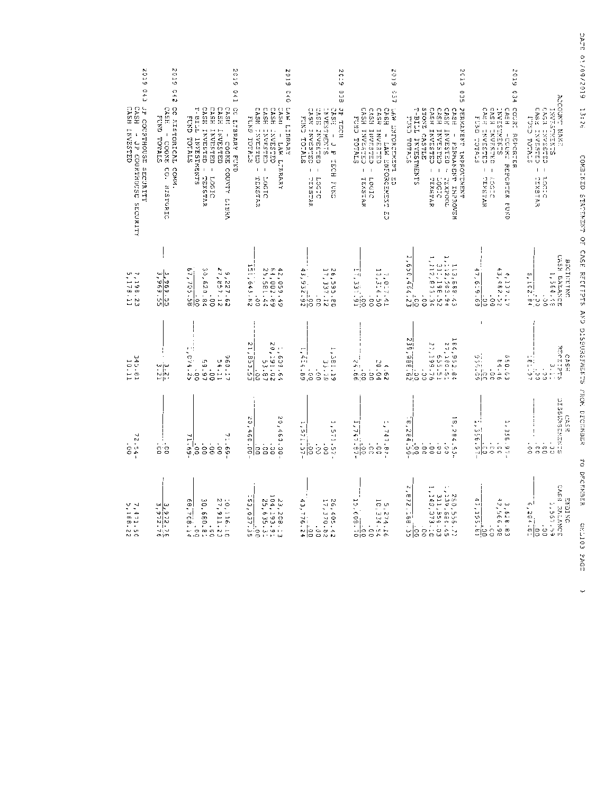| 2019<br>C 4 3                                                               | N,<br>Ċ,<br>5<br>263                                                                                      | 2019<br><b>D41</b>                                                                                                                                                                                       | 2019<br>C40                                                                                                                                                                          | $20 -$<br>١o<br>633                                                                                                                                              | <b>6002</b><br>es<br>4                                                                                                                                                        | 2019<br>ິນ                                                                                                                                                                                                                                                                                                                       | 2019 034                                                                                                                                                   |                                                                                                                         | 9576 01/99/2019                                                  |
|-----------------------------------------------------------------------------|-----------------------------------------------------------------------------------------------------------|----------------------------------------------------------------------------------------------------------------------------------------------------------------------------------------------------------|--------------------------------------------------------------------------------------------------------------------------------------------------------------------------------------|------------------------------------------------------------------------------------------------------------------------------------------------------------------|-------------------------------------------------------------------------------------------------------------------------------------------------------------------------------|----------------------------------------------------------------------------------------------------------------------------------------------------------------------------------------------------------------------------------------------------------------------------------------------------------------------------------|------------------------------------------------------------------------------------------------------------------------------------------------------------|-------------------------------------------------------------------------------------------------------------------------|------------------------------------------------------------------|
| CASH INVESTED<br>CASH<br>JP COURTHOUSE SECURITY<br>- JP COURTHOUSE SECURITY | CC FISTORICAL<br>CASE<br><b>FUND TOTALS</b><br>$\overline{\phantom{a}}$<br>GOOX5<br>COMM.<br>CO. HISTORIC | CC LIBRARY FUND<br>TTIB-L<br><b>CASH</b><br>CASH<br>CASHO<br>CASHI<br>C.K.<br>INVESTED -<br>INVESTED<br>INVESTED<br>$\sf I$<br>TOTALS<br>INVESTMENTS<br>COOKE COUNTY<br><b>TEXSTAR</b><br>21501<br>LIBRA | LAW LIBRARY<br><b>CASE</b><br><b>CASE</b><br>CASE<br>CASH<br>FUND TOTALS<br><b>CHARGES</b><br><b>CHARES</b><br>QULSIAN:<br>$\sf I$<br>LAW LIDRARY<br>$\mathsf I$<br>EAT2X21<br>21907 | JP TECH<br>OSCAMI SSVO<br>CASS INVESTED<br><b>ENVESTMCNTS</b><br>CASH<br><b>EDKC</b><br>$\mathbf I$<br>TOTALS<br>L<br>Ŀ<br>HOTE<br>I<br>LOGIC<br>TEXSTAR<br>EUND | CASH INVESTED<br>EASH<br>LASSECROPED FINE<br>CASH<br>CASH<br>FUND TOTALS<br>INVESTED<br>INVESTED<br><b>FIRE EXECUTIVES</b><br>$\mathsf I$<br>I<br>방<br>TEXSTAR<br>Locito<br>U | CASH INVESTED - TEXETAR<br><b>CASH</b><br>CASH<br>PERNEXAND INPROCENT<br>STONE CASTLE<br>CASH<br>TTIBIT<br>STATOT CAST<br>INVESTED -<br>- CRESEARI<br>$\mathsf I$<br>INVESTMENTS<br>PERMANET INPROVEM<br>21907<br>TOOSXEL                                                                                                        | COURS<br>CASH INVESTRO<br>CASH INVESTRI<br>FUXD TOTALS<br>CASH<br>SLNEW-SEANL<br><b>REPORTER</b><br>-COURT REPORTER<br>I.<br>LOGIC<br>UDGIC<br><b>EURD</b> | POCCORS EXE<br>CASH INVESTED<br>CASH INVESTED<br>SUNDAY STATES<br>ここくし ヨロコンロッ<br>$\vert \ \ \vert$<br>TLOCIC<br>CEXSTAR | 13:26<br>CORRENZE STATERIZENZE OF CASE REGERENCE ARU UNDERWERENC |
| $7, 198.23$<br>5, 178.11                                                    | ∾إ∾<br>.969<br>$\frac{269.55}{25.696}$                                                                    | ᡡ<br>30,620.84<br>$5,227.62$<br>27.63<br>ŕ,<br>$\frac{85.301}{00}$<br>$\cdot$<br>$\frac{1}{2}$                                                                                                           | 51,643.<br>64,002.69<br>25,581.44<br>4<br>2,059.4<br>$\ddot{\circ}$<br>23<br>١c                                                                                                      | 4<br>26,595.20<br>17,337.12<br>یبا<br>ç<br>$\frac{56}{32.55}$<br>cc.                                                                                             | 7,017.41<br>-aj<br>ورا<br>$\frac{16}{31.91}$<br>co                                                                                                                            | $\frac{1}{2}$ , 650, 464, 23<br>$\begin{array}{l} 1.13\, , 6.66\, , 4.3\, \\ 1.12\, , 2.503\, , 9.2\, \\ 2.11\, , 1.2\, , 673\, , 572\, \\ 1.12\, , 673\, , 573\, , 572\, \\ 1.12\, , 673\, , 573\, , 572\, , 572\, , 572\, , 572\, , 572\, , 572\, , 572\, , 572\, , 572\, , 572\, , 572\, , 572\, , 5$<br>$\frac{1}{\sqrt{2}}$ | 47,<br>4,137.17<br>$6 - 9$<br>$\blacksquare$<br>3<br>ရွိခြ                                                                                                 | CASH EALAND<br>BEGINNING<br>1,564.45<br>ш<br>۰.<br>$\frac{102}{102}$ .<br>,<br>ن<br>مان<br>š                            |                                                                  |
| 345.81<br>10.11                                                             | $\frac{3.21}{3.21}$                                                                                       | $\frac{1}{2}$ , c <sup>3</sup> 4.25<br>Φ<br>16.65<br>1119<br>54.11<br>$\frac{1}{9}$                                                                                                                      | 21,<br>N<br>1,608.64<br>20,191.02<br>$\ddot{\zeta}$<br>ω<br><b>53.5</b><br>53.87<br>je<br>I<br>ω                                                                                     | Ξ.<br>ĩ,<br>i A.<br>69.7I)<br>00<br>ie 1 - 19<br>33 - 70<br>$\frac{1}{2}$                                                                                        | N,<br>20.04<br>$\frac{56}{4.66}$<br>$\Delta$<br>$\frac{1}{10}$<br>ţ.<br>N                                                                                                     | $\frac{239}{ }$<br>(54)<br>164,952.64<br>27,160.51<br>N<br>94199.76<br>192.51<br>389.88<br>0C<br>ΨI<br>$\frac{1}{60}$<br>Ċ.                                                                                                                                                                                                      | w,<br>m<br>50.63<br>84.46<br>်း<br>၁၁<br>၁၁<br>i<br>S                                                                                                      | RECEIVE<br>CASH<br>$\frac{1}{2}$<br>سا<br>منا<br>ė.<br>v.                                                               |                                                                  |
| $72.54 -$                                                                   | $\frac{1}{2}$                                                                                             | $-69 - 69$<br>71.69.<br>$\frac{1}{2}$<br>$\frac{1}{2}$<br>$\frac{1}{9}$<br>.<br>ة                                                                                                                        | 20,4<br>w<br>õ,<br>ć<br>00109<br>G<br>3.30<br>SO<br>$\tilde{\mathbf{c}}$<br>မိ                                                                                                       | Γ,<br>Ļņ<br>551.57<br>-11<br>1.57<br>$0.0 -$<br>.<br>Ə<br>ίs                                                                                                     | ٠<br>۰<br>٠.,<br>↵<br>$47.87 -$<br>$\frac{18}{90}$ : $\frac{1}{2}$<br>$\frac{1}{2}$<br>å                                                                                      | op<br>ë<br>۰<br>$\frac{1}{284}$ $\frac{100}{20}$<br>Ωã<br>$4.50$ .<br>$\frac{1}{2}$<br>$\frac{1}{6}$<br>Ġ<br>$\frac{1}{2}$                                                                                                                                                                                                       | ٠<br>۰<br>إدب<br>355.<br>$\frac{5}{3}$<br>$\frac{1}{2}$<br>co<br>$\frac{6}{2}$<br>C O                                                                      | <b>TABLESS CREATE</b><br><b>CASH</b><br>o o<br>S<br>$\frac{1}{2}$<br>ςC<br>S                                            | FRONT DECENTRATE                                                 |
| 7,471.50<br>5,168.22                                                        | $\frac{3}{3}, \frac{9}{3}, \frac{22}{3}, \frac{7}{3}$<br>onjon                                            | $\sim \cdot$<br>ጡ<br>w<br>o۱<br>ë<br>- 911-116.12<br>27,911.23<br>27,911.23<br>۰<br>$rac{1}{20}$<br>Ģ<br>180.81<br>$\frac{1}{2}$                                                                         | 23,206<br>104,191<br>25,636<br>$\mathbf{I}$<br>$\mathbf{f}$<br>53,037<br>Ğ,<br>$\omega$ $\infty$<br>$\cdot$ .<br>$\frac{1}{2}$<br>없음                                                 | t,<br>$\sim N$<br>قبة<br>یبا<br>$\mathbb{Z}$ .<br>نما<br>£.<br>105.42<br>370.82<br>ტი :<br>$rac{1}{25}$<br>0 <sup>c</sup>                                        | ų,<br>o u<br>- -<br>Ğ,<br>274.16<br>234.54<br>$\frac{5}{2}$<br>$\bullet$<br>싫<br>$\frac{1}{2}$                                                                                | Z<br>۰<br>m<br>↵<br>Σ<br>Ξ.<br>ട്.<br>٠<br>닗<br>$\stackrel{\circ}{\circ}$                                                                                                                                                                                                                                                        | £,<br>م<br>$\sim$<br>3,628.8<br>۰<br>$\overline{\phantom{a}}$<br>ē,<br>÷ j.<br>$\cdot$<br>حزامه<br>$\mathcal{C}$<br>-!0<br>$\omega$<br>C                   | CASS EALANC<br>ENDING<br>419991<br>ا ت<br>۰<br>$\sim$<br>$\frac{3}{64}$ .<br>$\hat{\phantom{a}}$<br>휘<br>S<br>$+11$     | TO DECENSER<br>COTTED                                            |
|                                                                             |                                                                                                           |                                                                                                                                                                                                          |                                                                                                                                                                                      |                                                                                                                                                                  |                                                                                                                                                                               |                                                                                                                                                                                                                                                                                                                                  |                                                                                                                                                            |                                                                                                                         | 5945                                                             |

لىيا<br>.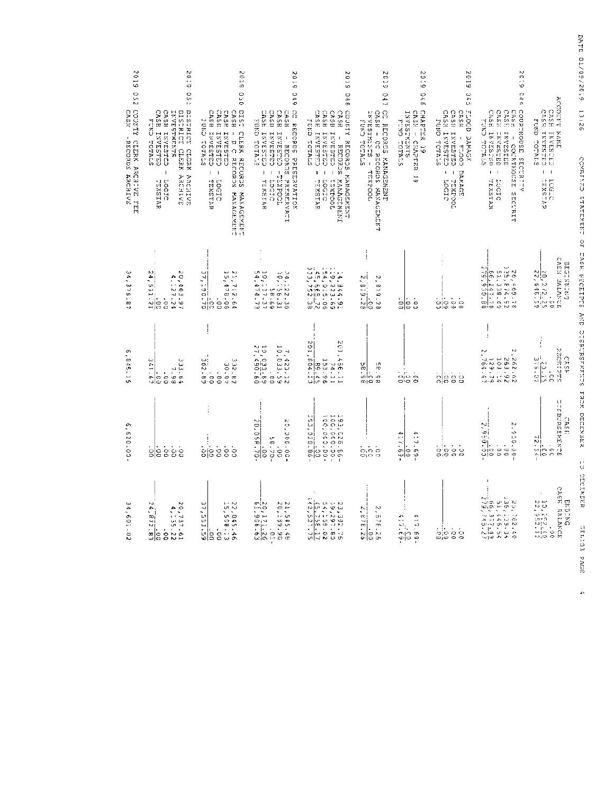| 2019<br>250                                                    | 670Z<br>O<br>UΊ<br>ы                                                                                                                                                   | 2019<br>oro                                                                                                                                                                                                                    | <b>2019</b><br><b>949</b>                                                                                                                                                         | 2019<br>046                                                                                                                                                                                                                                                                                                               | €10Z<br>047                                                                                                | 6 - 0 2<br>970                                                                                      | 2019<br>545                                                                                                                                                                                                                                                                                               | 6:0.7<br>C 4<br>Ą.                                                                                                                                                                                                                                   | ACCOUNT                                                                                                         |
|----------------------------------------------------------------|------------------------------------------------------------------------------------------------------------------------------------------------------------------------|--------------------------------------------------------------------------------------------------------------------------------------------------------------------------------------------------------------------------------|-----------------------------------------------------------------------------------------------------------------------------------------------------------------------------------|---------------------------------------------------------------------------------------------------------------------------------------------------------------------------------------------------------------------------------------------------------------------------------------------------------------------------|------------------------------------------------------------------------------------------------------------|-----------------------------------------------------------------------------------------------------|-----------------------------------------------------------------------------------------------------------------------------------------------------------------------------------------------------------------------------------------------------------------------------------------------------------|------------------------------------------------------------------------------------------------------------------------------------------------------------------------------------------------------------------------------------------------------|-----------------------------------------------------------------------------------------------------------------|
| COUNTY CLERK ARCHIVE<br>CASH<br><b>RECORDED ARCHIVE</b><br>FEE | CASH INVESTED<br>DISTRICT CLERK ARCHIVE<br>DISTRICT CLERK ARCHIVE<br>CASH INVESTED<br>INVESTMENTS<br>DISTRICT CLERK<br>FUND TOTALS<br>$\mathbf{I}$<br>LOCIC<br>TEXETAR | 515T<br>CASH<br>CASH<br>CASH INVESTED<br>CHARACT CYUT<br>CASH<br>CNOS<br>CLERK RECORDE<br><b>CHASHAMI</b><br>INVESTED<br>$\mathsf I$<br>D C RECORDS<br>$\mathbf I$<br>TLXSTAR<br>21507<br><b>KANAGEMENT</b><br><b>EARNSENS</b> | <b>CC RECORDS PRESERVATION</b><br>CASE<br>CASE<br>CASH<br><b>CASH</b><br>ELAIOT GYUS<br>CHASSLE<br>INVESTED<br>INVESTED - TENPOOL<br>- RECORDS PRESERVALL<br>- LOGIC<br>- TEXETAR | COUNTY SECONDE NAMES<br>CASH<br><b>CASH</b><br>CHESIANI HSWD<br><b>CASH</b><br>ELEPTALES<br>INVESTED -<br>INVESTED<br>$\mathbf I$<br><b>RECORDS</b><br>ï<br>$\mathbf I$<br><b>KARAGBRENE</b><br>TOOJXEI<br>TEXETAR<br>D2507                                                                                               | CC RECORDANCEMENT<br>TANESHREN, S<br>CASH - CC RECORDS MANAGEMANY<br>ELATOT CAUS<br>TOOLXE                 | CHAPTER 19<br><b>INVESTREMES</b><br>CASH - CRAPTER<br>FUND TOTALS<br>$\overline{\phantom{0}}$<br>Ψ٥ | <b>4000E</b><br>CASS <sub>1</sub><br>CASH INVESTED<br>CASH<br>FUND TOTALS<br>LNCHUND<br>DAMAGE<br>$\,$<br>COO <sup>-4</sup><br><b>DAMAGE</b><br>$\mathsf I$<br>$\pmb{\epsilon}$<br>21907<br>TOODAYST                                                                                                      | COURTROUSE SECTRIT<br>CASE INVESTIGAT<br>CASE<br>CASE<br>CASH<br>STRID LOTE<br>INVESTED<br><b>ORLSENS</b><br>- COURTHOUSE SECURIT<br>$\,$<br>$\,$ I<br>paster.<br>TEXETAR<br>٠ć                                                                      | CASH<br>CASS INVESTED<br>CETERALL RSAD<br><b>KAME</b><br><b>CROSSES</b><br>I.<br>$\mathbf I$<br>SASTAR<br>DOGTO |
| یم<br>م<br>375.<br>®                                           | NH<br>N.<br>24, 531.21<br>20,403.97<br>50,403.94<br>$\frac{1}{10}$                                                                                                     | 21,712.64<br>15,478.06<br>$\overline{37}$ ,<br>$\frac{515}{20}$<br>$\frac{1}{6}$                                                                                                                                               | $L^n$ $L^n$<br>34, 122. 36<br>10, 156. 11<br>5 2 3 3 5<br>1 5 5 7 5 7 5<br>5 4 7 4 - 7 7                                                                                          | $\begin{array}{l} 1.44644461 \\ 2.4464661 \\ 2.4466661 \\ 2.44666661 \\ 2.44666661 \\ 2.4466661 \\ 2.4466661 \\ 2.446661 \\ 2.446661 \\ 2.44661 \\ 2.44661 \\ 2.44661 \\ 2.44661 \\ 2.44661 \\ 2.44661 \\ 2.44661 \\ 2.44661 \\ 2.44661 \\ 2.44661 \\ 2.44661 \\ 2.44661 \\ 2.44$                                         | NJ İ<br>$\ddot{\phantom{0}}$<br>$\frac{2}{2}$ , 819.28<br>E19.2<br>$\infty$                                | le s<br>$\frac{0}{1}$                                                                               | . ;<br>ပ∣၀၀၀<br>ပ∣၀၀၀                                                                                                                                                                                                                                                                                     | J.<br>LΣ.<br>$\begin{array}{l} 2\, 4\, 6\, 6\, 6\, 7\, 8\, 7\, 8\, 7\, 8\, 7\, 8\, 7\, 8\, 7\, 8\, 7\, 8\, 7\, 8\, 7\, 8\, 7\, 8\, 7\, 8\, 7\, 8\, 7\, 8\, 7\, 8\, 7\, 8\, 7\, 8\, 7\, 8\, 7\, 8\, 7\, 8\, 7\, 8\, 7\, 8\, 7\, 8\, 7\, 8\, 7\, 8\, $ | CASH BALANCE<br><b>DNINNING</b><br>$\frac{10}{22}, \frac{2}{6}$ 4 6 4 6 7 5 9<br>$\cdot$<br>$\frac{1}{2}$       |
| Ō,<br>845.15                                                   | ند)<br>3 3 - 5 8<br>8 - 5 8<br>8 9 - 5 8<br>$-1.7$<br>$\blacksquare$<br>$\frac{1}{3}$<br>.<br>C                                                                        | $\mathbf{I}$<br>$\blacksquare$<br>$\frac{68.295}{0.0}$<br>$23.562$<br>$20.507$<br>$\frac{1}{2}$                                                                                                                                | Ē<br>RJ.<br>10,033.69<br>10,033.69<br>27,490.60<br>7, 423.12<br>10,033.59<br>c o                                                                                                  | $\begin{array}{c} 2 & 0 & 1 & 4 & 6 & 6 & 1 & 1 \\ 7 & 6 & 1 & 5 & 5 & 6 \\ 1 & 5 & 3 & 6 & 6 & 6 \\ 2 & 0 & 1 & 6 & 6 & 2 \\ 2 & 0 & 1 & 6 & 6 & 2 \\ 2 & 0 & 1 & 6 & 6 & 2 \\ 2 & 0 & 1 & 6 & 6 & 2 \\ 2 & 0 & 1 & 6 & 6 & 2 \\ 2 & 0 & 1 & 6 & 6 & 2 \\ 2 & 0 & 1 & 6 & 6 & 2 \\ 2 & 0 & 1 & 6 & 6 & 2 \\ 2 & 0 & 1 &$ | 86-85<br>$\frac{86.96}{9.0}$                                                                               |                                                                                                     | $\frac{1}{2}$<br>                                                                                                                                                                                                                                                                                         |                                                                                                                                                                                                                                                      | Suddana<br>CASP.<br>$\frac{1}{12}$                                                                              |
| .<br>.<br>620.00-                                              | $\frac{1}{3}$<br>.<br>s<br>έs<br>$\frac{1}{\sigma}$                                                                                                                    | .<br>واه<br>$\frac{1}{\circ}$<br>ė<br>8                                                                                                                                                                                        | $\frac{100}{20,056.70}$<br>50.000.00<br>UР<br>$-0.2 - 0$<br>Ş                                                                                                                     | $\begin{array}{l} 2.93 \,,\,0.28 \,,\, 56 \, \mathrm{e} \\ 1.00 \,,\, 0.00 \,,\, 0.00 \,,\, 0.00 \,,\, \\ 1.00 \,,\, 0.00 \,,\, 0.00 \,,\, 0.00 \,, \end{array}$<br>201565<br>$\frac{1}{9}$                                                                                                                               | $\cdot$<br>o,o o<br>ojo o                                                                                  | مثل<br>ą,<br>ΞY.<br>59.69<br>σ,<br>١ŝ                                                               | $\frac{1}{2}$ : $\frac{1}{2}$ : $\frac{1}{2}$ : $\frac{1}{2}$ : $\frac{1}{2}$ : $\frac{1}{2}$ : $\frac{1}{2}$ : $\frac{1}{2}$ : $\frac{1}{2}$ : $\frac{1}{2}$ : $\frac{1}{2}$ : $\frac{1}{2}$ : $\frac{1}{2}$ : $\frac{1}{2}$ : $\frac{1}{2}$ : $\frac{1}{2}$ : $\frac{1}{2}$ : $\frac{1}{2}$ : $\frac{1$ | M<br>$\frac{2}{2}$ , 950.<br>$\frac{60}{2}$<br>$2.95.010 - 0.00$<br>$\frac{1}{2}$                                                                                                                                                                    | いうの はじ みいけえじえつ<br>CASE<br>٠J<br>∾į.<br>ujo<br>$\mathcal{L}$<br>∴¦c<br>fÆ                                        |
| 34,601.02                                                      | N<br>N.<br>Ã,<br>20,737.61<br>4,135.22<br>$\infty$<br>$\frac{68.22.83}{20}$<br>$\frac{1}{6}$                                                                           | 37,553,59<br>$H = N$<br>22,045.46<br>22,045.46<br>İŝ<br>$\frac{1}{2}$                                                                                                                                                          | $\begin{array}{l} 2.0 \; . \; 1 \; 7 \; 1 \; . \; 0 \; . \; \\ -6 \; 1 \; , \; 9 \; 0 \; 6 \; . \; 6 \; 3 \end{array}$<br>21,545.45<br>20,199.90<br>$\mathbf{I}$                  | $\begin{array}{l} 23.7567 \\ 22.8577 \\ 25.8577 \\ 25.8577 \\ 25.8577 \\ 25.8577 \\ 25.8577 \\ 25.8577 \\ 25.8577 \\ 25.8577 \\ 25.8577 \\ 25.8577 \\ 25.8577 \\ 25.8577 \\ 25.8577 \\ 25.8577 \\ 25.8577 \\ 25.8577 \\ 25.8577 \\ 25.8577 \\ 25.8577 \\ 25.8577 \\ 25.8577 \\ 25.85$                                     | Νj<br>Z<br>$\overline{\phantom{0}}$<br>۰<br>œ.<br>Ţ.<br>$3.76 - 26$<br>$\frac{1}{2}$<br>M<br>ី<br>$\sigma$ | $4.17.69 -$<br>$5.2.69 -$                                                                           | $\frac{1}{2}$                                                                                                                                                                                                                                                                                             | 22.19.28.29.29<br>20.29.29.29.29<br>20.29.29.29.29<br>27.29.79.27                                                                                                                                                                                    | ENDING<br>CASH BALANCE<br>$\sim$ $\sim$<br>10,252,20<br>22,952,12<br>$\cdot$<br>Š                               |

DATE 01/09/2619 13:26 CONNEXEMENT OF CASE STREET STREETS AND DECENSEMENTS AND DECENSES OF CASE STREETS OF CASENEXEMENTS OF CASENEXED

b.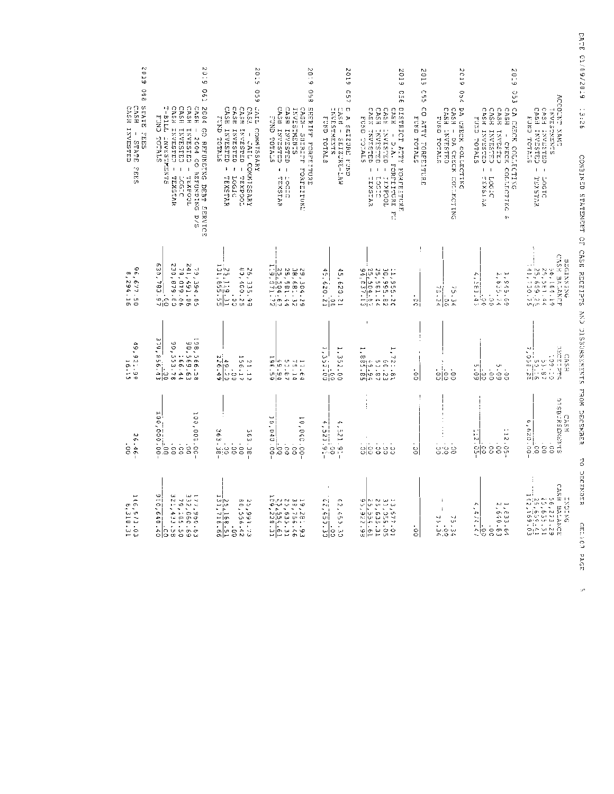| 2019<br>88<br>CASH INVESTED<br><b>CASH</b><br><b>STATE</b><br><b>SHIPS</b><br>$\mathsf I$<br>STATE<br>2685 | 20.9<br><b>C61</b><br>CASH INVESTED - LOGIC<br>CASH INVESTED - TEXSTAR<br>CESH INVESTED -<br>TTTH-2<br>CASE<br>2004 GO REFUNDING DEBT SERVICE<br>CNLE<br>$-2004$ GO REFUNDING D/S<br>INVESTMENTS<br>TATOT<br>TEXPOQL                                                                                                     | 2019<br>650<br>LAIL COMMISSARY<br>CASH INVESTED<br>CASH<br>CASH<br><b>CASH</b><br>FUND TOTALS<br>- OFTSEPTE<br>INVESTED<br>- JAIL COMMISSARY<br>$\pmb{\ast}$<br>ł<br>TOO3XED<br>TEXSTAR<br>21907 | 50:9<br>990<br>SHERIF FORFITURE<br>CASH INVESTED<br>CASH INVESTED<br>INVERSING<br>CASH SHEREF FOREIT SERVICE<br>ELATOT CNUR<br>$\blacksquare$<br>$\,$ $\,$<br>LOCIC<br>TEXSTAR                                                                                                                                                                    | 2019<br>o<br>5<br>$\Box$<br>INVESTMENTS<br>CASH - SEIZURE-LAW<br>A SEIZURE FUND<br>FUND TOTALS | ET0Z<br>O<br>ίņ<br>DISTRICT ATTY FORFITURE<br>CASH INVESTED<br>CASH INVESTED<br>CASH INVESTED -<br>CASH<br>FUND TOTALS<br>ISVESTED<br>- D.A. FORFEITURE FU<br>$\overline{\phantom{a}}$<br>$\pmb{\cdot}$<br>10010<br>TOOdXIL<br>EXSTAR           | 5102<br>Ó<br>Š<br>CO ATTY FOREEITUR<br>FUND TOTALS<br>'n | 2019<br>しこく<br>DA CHECK COLLECTING<br>CASH - DA CEECK COLLECTING<br>CASH INVESTRD<br>PUND TOTALE | 6702<br>ن<br>تا<br>CA CHECK COLLECTING<br>CASH - CHECK COLLECTING<br>CASH INVESTED -<br><b>CASH</b><br>CASH - CHECK<br>CASH INVESTED<br>FUXD TOTALS<br>CHAPSTRIC<br>$\overline{1}$<br>TEXSLAR<br>215071<br>$\tilde{\mathbf{z}}$ | ACCOUNT XRES<br>CASH INVIEWS<br>CREAT HEAD<br>1.ろくせいけいけえい<br>EUND TETALS<br>$\mathsf{L}$<br>$\mathbf{I}$<br>DOGIC<br>TEXENSR |
|------------------------------------------------------------------------------------------------------------|--------------------------------------------------------------------------------------------------------------------------------------------------------------------------------------------------------------------------------------------------------------------------------------------------------------------------|--------------------------------------------------------------------------------------------------------------------------------------------------------------------------------------------------|---------------------------------------------------------------------------------------------------------------------------------------------------------------------------------------------------------------------------------------------------------------------------------------------------------------------------------------------------|------------------------------------------------------------------------------------------------|-------------------------------------------------------------------------------------------------------------------------------------------------------------------------------------------------------------------------------------------------|----------------------------------------------------------|--------------------------------------------------------------------------------------------------|---------------------------------------------------------------------------------------------------------------------------------------------------------------------------------------------------------------------------------|------------------------------------------------------------------------------------------------------------------------------|
| $66, 677.50$<br>02.77.50                                                                                   | CB 679.82<br>30.192.254.152<br>20.192.152<br>19,019.06<br>30,78<br>$rac{5!}{2!}$                                                                                                                                                                                                                                         | 133,115<br>26,335.99<br>80,400.25<br>$\frac{3}{55}$ , $\frac{31}{55}$<br>$\frac{1}{\mathbf{C}}$                                                                                                  | 29, 304, 22<br>28, 581, 44<br>22, 594, 67<br>1. 3, 071, 72<br>1. 3, 071, 72                                                                                                                                                                                                                                                                       | $\frac{12}{95,620.21}$<br>45,620.21                                                            | $\begin{array}{l} 21.9555.20 \\ 29.581.46 \\ 25.501.46 \\ 26.500 \\ 27.500 \\ 28.51.63 \end{array}$                                                                                                                                             | Ţ<br>앍                                                   | $\frac{25.200}{75.364}$                                                                          | Ļ,<br>1,545.69<br>2,635.74<br>$-35.$<br>동등<br>is<br>S                                                                                                                                                                           | CASE BALANCE<br><b>BDO122326</b><br>26, 2021<br>25, 2021<br>25, 2021<br>96.165.19                                            |
| 66t<br>, 922.99<br>16.15                                                                                   | 198,566.58<br>30,569.63<br>36.44<br>90,553.78<br>79,<br>œ<br>$rac{26}{100}$ .<br>$\omega$ $\infty$                                                                                                                                                                                                                       | N)<br>21.12<br>156.17<br>156.10<br>$rac{49.26}{26.49}$                                                                                                                                           | $\begin{array}{r} 11.1 \\ 15.2 \\ 15.6 \\ 19.6 \\ 19.6 \\ 19.6 \\ 19.6 \\ 19.6 \\ \end{array}$                                                                                                                                                                                                                                                    | 1, 352.00<br>힎                                                                                 | $\mathbf{I}$<br>÷<br>-:<br>$\frac{12}{5}$<br>$\frac{12}{5}$<br>$\frac{12}{5}$<br>$\frac{12}{5}$<br>$\frac{12}{5}$<br>$\frac{12}{5}$<br>$\frac{12}{5}$<br>$\frac{12}{5}$<br>$\frac{12}{5}$<br>$\frac{12}{5}$<br>$\frac{12}{5}$<br>$\frac{12}{5}$ | 읽                                                        |                                                                                                  | ္တုိ ့ ့<br>၁၀၀၀၀<br>ဖြစ်ပြဲ ဖြစ်ပြ                                                                                                                                                                                             | CASH                                                                                                                         |
| $26.46 -$<br>$\frac{1}{2}$                                                                                 | 10.1002.000<br>100,000.00<br>$\cdot$<br>នន<br>å                                                                                                                                                                                                                                                                          | نه<br>په<br>363.38<br>$\frac{1}{5}$                                                                                                                                                              | $\frac{-69}{10,040.00}$<br>00.050, 00<br>$\overline{0}$<br>š                                                                                                                                                                                                                                                                                      | 4, 521.<br>$\mathcal{L}_{\mathbf{A}}$ .<br>$\frac{52}{321.9}$ .<br>ė                           | $\mathbf{r}$                                                                                                                                                                                                                                    | 믱                                                        | $\epsilon$<br>0.00<br>0.00                                                                       | 12.05<br>12.05<br>$\frac{1}{2}$<br>$_{\rm c}^{\circ}$<br>်<br>၁                                                                                                                                                                 | CASH<br>STKENDERSTO<br>ው<br>g,<br>$\frac{100}{126.00}$<br>$\ddot{\phantom{0}}$<br>CO.<br>$\circ$                             |
| 146,573.03<br>146,310.31                                                                                   | $\begin{array}{l} 1\  \  7\  \  7\  \  2\  \  2\  \  7\  \  6\  \  6\  \  6\  \  6\  \  6\  \  6\  \  6\  \  6\  \  6\  \  6\  \  6\  \  6\  \  6\  \  6\  \  6\  \  6\  \  6\  \  6\  \  6\  \  6\  \  6\  \  6\  \  6\  \  6\  \  6\  \  6\  \  6\  \  6\  \  6\  \  6\$<br>Φ<br>$\frac{077}{03}$<br>$\frac{640}{0.2}$ | $\frac{25}{131}$ , $\frac{168.51}{116.66}$<br>25,993.73<br>80,556.42<br>$\frac{1}{5}$                                                                                                            | $\begin{array}{l} 19 \\ 23 \\ 25 \\ 36 \\ 15 \\ 26 \\ 27 \\ 28 \\ 29 \\ 22 \\ 23 \\ 25 \\ 36 \\ 37 \\ 28 \\ 29 \\ 21 \\ 23 \\ 31 \\ 41 \\ 52 \\ 61 \\ 61 \\ 62 \\ 63 \\ 64 \\ 65 \\ 67 \\ 69 \\ 60 \\ 60 \\ 61 \\ 62 \\ 63 \\ 64 \\ 65 \\ 66 \\ 67 \\ 68 \\ 69 \\ 60 \\ 60 \\ 60 \\ 61 \\ 62 \\ 63 \\ 64 \\ 65 \\ 66 \\ 67 \\ 68 \\ 69 \\ 69 \\ $ | i^<br>$\frac{1}{12}$ , $\frac{1}{15}$ , $\frac{3}{10}$<br>2,450.30                             | $\begin{array}{l} 13,677,01\\ 23,675.51\\ 25,635.31\\ 25,635.61\\ 25,925.61\\ \end{array}$                                                                                                                                                      | .<br>S                                                   | $\ddot{\phantom{a}}$<br>$\ddot{\phantom{0}}$<br>L.<br>0.000<br>0.000<br>0.000                    | $1, 833.64$<br>2,640.63<br>л.<br>$\frac{(3 + 3 + 5)}{20}$<br>$\frac{1}{5}$                                                                                                                                                      | E AREN BALANCE<br>15, 25, 26, 25, 21<br>18, 25, 26, 25, 21<br>16, 26, 16, 26, 03<br>16, 26, 163<br>HEGHERG                   |

DATE 01/09/2019 13:26 CONSINERING SERIES CRESSISSISSISSISTS IN SERIES AND SERIES OF CRESS OF SERIES TO DECEMBER GELICI PAGE

ò,